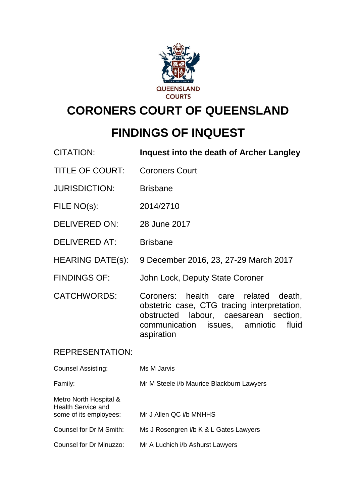

# **CORONERS COURT OF QUEENSLAND**

## **FINDINGS OF INQUEST**

| <b>CITATION:</b>                                    | <b>Inquest into the death of Archer Langley</b>                                                                                                                                             |
|-----------------------------------------------------|---------------------------------------------------------------------------------------------------------------------------------------------------------------------------------------------|
| <b>TITLE OF COURT:</b>                              | <b>Coroners Court</b>                                                                                                                                                                       |
| <b>JURISDICTION:</b>                                | <b>Brisbane</b>                                                                                                                                                                             |
| FILE NO(s):                                         | 2014/2710                                                                                                                                                                                   |
| <b>DELIVERED ON:</b>                                | 28 June 2017                                                                                                                                                                                |
| <b>DELIVERED AT:</b>                                | <b>Brisbane</b>                                                                                                                                                                             |
| <b>HEARING DATE(s):</b>                             | 9 December 2016, 23, 27-29 March 2017                                                                                                                                                       |
| <b>FINDINGS OF:</b>                                 | John Lock, Deputy State Coroner                                                                                                                                                             |
| <b>CATCHWORDS:</b>                                  | Coroners: health care<br>related<br>death,<br>obstetric case, CTG tracing interpretation,<br>obstructed labour, caesarean section,<br>fluid<br>communication issues, amniotic<br>aspiration |
| <b>REPRESENTATION:</b>                              |                                                                                                                                                                                             |
| <b>Counsel Assisting:</b>                           | Ms M Jarvis                                                                                                                                                                                 |
| Family:                                             | Mr M Steele i/b Maurice Blackburn Lawyers                                                                                                                                                   |
| Metro North Hospital &<br><b>Health Service and</b> |                                                                                                                                                                                             |

some of its employees: Mr J Allen QC i/b MNHHS

Counsel for Dr M Smith: Ms J Rosengren i/b K & L Gates Lawyers

Counsel for Dr Minuzzo: Mr A Luchich i/b Ashurst Lawyers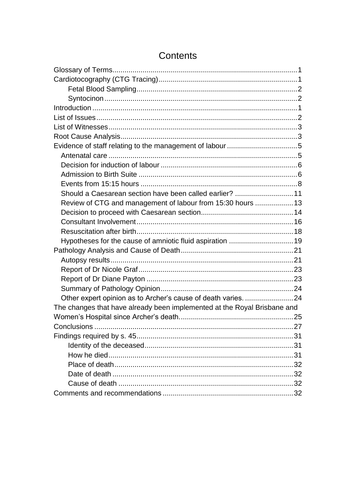| Should a Caesarean section have been called earlier?  11                 |  |
|--------------------------------------------------------------------------|--|
| Review of CTG and management of labour from 15:30 hours  13              |  |
|                                                                          |  |
|                                                                          |  |
|                                                                          |  |
|                                                                          |  |
|                                                                          |  |
|                                                                          |  |
|                                                                          |  |
|                                                                          |  |
|                                                                          |  |
| Other expert opinion as to Archer's cause of death varies. 24            |  |
| The changes that have already been implemented at the Royal Brisbane and |  |
|                                                                          |  |
|                                                                          |  |
|                                                                          |  |
|                                                                          |  |
|                                                                          |  |
|                                                                          |  |
|                                                                          |  |
|                                                                          |  |
|                                                                          |  |

## Contents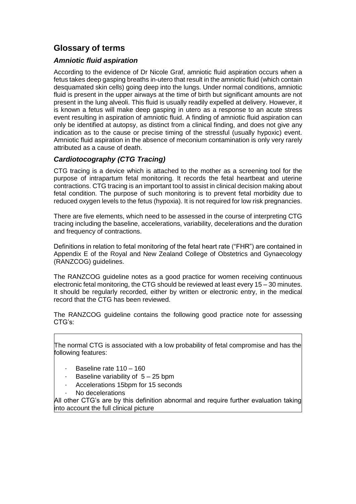## <span id="page-2-0"></span>**Glossary of terms**

#### *Amniotic fluid aspiration*

According to the evidence of Dr Nicole Graf, amniotic fluid aspiration occurs when a fetus takes deep gasping breaths in-utero that result in the amniotic fluid (which contain desquamated skin cells) going deep into the lungs. Under normal conditions, amniotic fluid is present in the upper airways at the time of birth but significant amounts are not present in the lung alveoli. This fluid is usually readily expelled at delivery. However, it is known a fetus will make deep gasping in utero as a response to an acute stress event resulting in aspiration of amniotic fluid. A finding of amniotic fluid aspiration can only be identified at autopsy, as distinct from a clinical finding, and does not give any indication as to the cause or precise timing of the stressful (usually hypoxic) event. Amniotic fluid aspiration in the absence of meconium contamination is only very rarely attributed as a cause of death.

#### <span id="page-2-1"></span>*Cardiotocography (CTG Tracing)*

CTG tracing is a device which is attached to the mother as a screening tool for the purpose of intrapartum fetal monitoring. It records the fetal heartbeat and uterine contractions. CTG tracing is an important tool to assist in clinical decision making about fetal condition. The purpose of such monitoring is to prevent fetal morbidity due to reduced oxygen levels to the fetus (hypoxia). It is not required for low risk pregnancies.

There are five elements, which need to be assessed in the course of interpreting CTG tracing including the baseline, accelerations, variability, decelerations and the duration and frequency of contractions.

Definitions in relation to fetal monitoring of the fetal heart rate ("FHR") are contained in Appendix E of the Royal and New Zealand College of Obstetrics and Gynaecology (RANZCOG) guidelines.

The RANZCOG guideline notes as a good practice for women receiving continuous electronic fetal monitoring, the CTG should be reviewed at least every 15 – 30 minutes. It should be regularly recorded, either by written or electronic entry, in the medical record that the CTG has been reviewed.

The RANZCOG guideline contains the following good practice note for assessing CTG's:

The normal CTG is associated with a low probability of fetal compromise and has the following features:

- Baseline rate 110 160
- Baseline variability of  $5 25$  bpm
- Accelerations 15bpm for 15 seconds
- No decelerations

All other CTG's are by this definition abnormal and require further evaluation taking into account the full clinical picture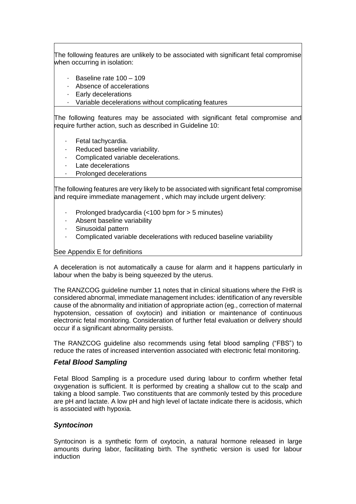The following features are unlikely to be associated with significant fetal compromise when occurring in isolation:

- · Baseline rate 100 109
- · Absence of accelerations
- · Early decelerations
- · Variable decelerations without complicating features

The following features may be associated with significant fetal compromise and require further action, such as described in Guideline 10:

- Fetal tachycardia.
- Reduced baseline variability.
- Complicated variable decelerations.
- Late decelerations
- Prolonged decelerations

The following features are very likely to be associated with significant fetal compromise and require immediate management , which may include urgent delivery:

- Prolonged bradycardia  $\left($  <100 bpm for  $>$  5 minutes)
- Absent baseline variability
- Sinusoidal pattern
- · Complicated variable decelerations with reduced baseline variability

See Appendix E for definitions

A deceleration is not automatically a cause for alarm and it happens particularly in labour when the baby is being squeezed by the uterus.

The RANZCOG guideline number 11 notes that in clinical situations where the FHR is considered abnormal, immediate management includes: identification of any reversible cause of the abnormality and initiation of appropriate action (eg., correction of maternal hypotension, cessation of oxytocin) and initiation or maintenance of continuous electronic fetal monitoring. Consideration of further fetal evaluation or delivery should occur if a significant abnormality persists.

The RANZCOG guideline also recommends using fetal blood sampling ("FBS") to reduce the rates of increased intervention associated with electronic fetal monitoring.

#### <span id="page-3-0"></span>*Fetal Blood Sampling*

Fetal Blood Sampling is a procedure used during labour to confirm whether fetal oxygenation is sufficient. It is performed by creating a shallow cut to the scalp and taking a blood sample. Two constituents that are commonly tested by this procedure are pH and lactate. A low pH and high level of lactate indicate there is acidosis, which is associated with hypoxia.

#### <span id="page-3-1"></span>*Syntocinon*

Syntocinon is a synthetic form of oxytocin, a natural hormone released in large amounts during labor, facilitating birth. The synthetic version is used for labour induction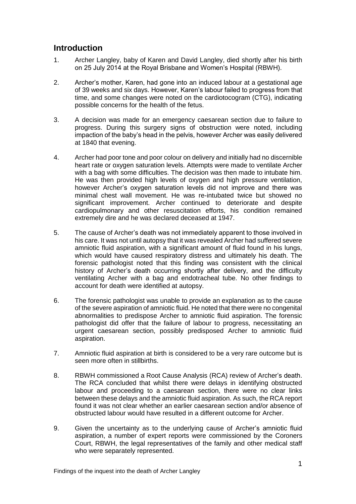## <span id="page-4-0"></span>**Introduction**

- 1. Archer Langley, baby of Karen and David Langley, died shortly after his birth on 25 July 2014 at the Royal Brisbane and Women's Hospital (RBWH).
- 2. Archer's mother, Karen, had gone into an induced labour at a gestational age of 39 weeks and six days. However, Karen's labour failed to progress from that time, and some changes were noted on the cardiotocogram (CTG), indicating possible concerns for the health of the fetus.
- 3. A decision was made for an emergency caesarean section due to failure to progress. During this surgery signs of obstruction were noted, including impaction of the baby's head in the pelvis, however Archer was easily delivered at 1840 that evening.
- 4. Archer had poor tone and poor colour on delivery and initially had no discernible heart rate or oxygen saturation levels. Attempts were made to ventilate Archer with a bag with some difficulties. The decision was then made to intubate him. He was then provided high levels of oxygen and high pressure ventilation, however Archer's oxygen saturation levels did not improve and there was minimal chest wall movement. He was re-intubated twice but showed no significant improvement. Archer continued to deteriorate and despite cardiopulmonary and other resuscitation efforts, his condition remained extremely dire and he was declared deceased at 1947.
- 5. The cause of Archer's death was not immediately apparent to those involved in his care. It was not until autopsy that it was revealed Archer had suffered severe amniotic fluid aspiration, with a significant amount of fluid found in his lungs, which would have caused respiratory distress and ultimately his death. The forensic pathologist noted that this finding was consistent with the clinical history of Archer's death occurring shortly after delivery, and the difficulty ventilating Archer with a bag and endotracheal tube. No other findings to account for death were identified at autopsy.
- 6. The forensic pathologist was unable to provide an explanation as to the cause of the severe aspiration of amniotic fluid. He noted that there were no congenital abnormalities to predispose Archer to amniotic fluid aspiration. The forensic pathologist did offer that the failure of labour to progress, necessitating an urgent caesarean section, possibly predisposed Archer to amniotic fluid aspiration.
- 7. Amniotic fluid aspiration at birth is considered to be a very rare outcome but is seen more often in stillbirths.
- 8. RBWH commissioned a Root Cause Analysis (RCA) review of Archer's death. The RCA concluded that whilst there were delays in identifying obstructed labour and proceeding to a caesarean section, there were no clear links between these delays and the amniotic fluid aspiration. As such, the RCA report found it was not clear whether an earlier caesarean section and/or absence of obstructed labour would have resulted in a different outcome for Archer.
- 9. Given the uncertainty as to the underlying cause of Archer's amniotic fluid aspiration, a number of expert reports were commissioned by the Coroners Court, RBWH, the legal representatives of the family and other medical staff who were separately represented.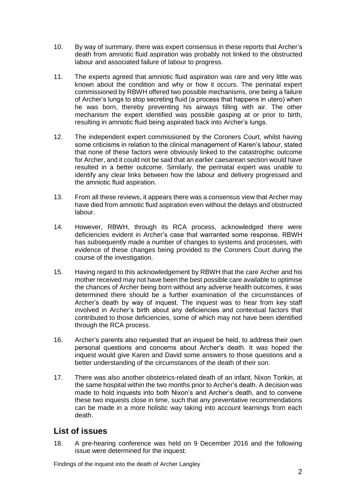- 10. By way of summary, there was expert consensus in these reports that Archer's death from amniotic fluid aspiration was probably not linked to the obstructed labour and associated failure of labour to progress.
- 11. The experts agreed that amniotic fluid aspiration was rare and very little was known about the condition and why or how it occurs. The perinatal expert commissioned by RBWH offered two possible mechanisms, one being a failure of Archer's lungs to stop secreting fluid (a process that happens in utero) when he was born, thereby preventing his airways filling with air. The other mechanism the expert identified was possible gasping at or prior to birth, resulting in amniotic fluid being aspirated back into Archer's lungs.
- 12. The independent expert commissioned by the Coroners Court, whilst having some criticisms in relation to the clinical management of Karen's labour, stated that none of these factors were obviously linked to the catastrophic outcome for Archer, and it could not be said that an earlier caesarean section would have resulted in a better outcome. Similarly, the perinatal expert was unable to identify any clear links between how the labour and delivery progressed and the amniotic fluid aspiration.
- 13. From all these reviews, it appears there was a consensus view that Archer may have died from amniotic fluid aspiration even without the delays and obstructed labour.
- 14. However, RBWH, through its RCA process, acknowledged there were deficiencies evident in Archer's case that warranted some response. RBWH has subsequently made a number of changes to systems and processes, with evidence of these changes being provided to the Coroners Court during the course of the investigation.
- 15. Having regard to this acknowledgement by RBWH that the care Archer and his mother received may not have been the best possible care available to optimise the chances of Archer being born without any adverse health outcomes, it was determined there should be a further examination of the circumstances of Archer's death by way of inquest. The inquest was to hear from key staff involved in Archer's birth about any deficiencies and contextual factors that contributed to those deficiencies, some of which may not have been identified through the RCA process.
- 16. Archer's parents also requested that an inquest be held, to address their own personal questions and concerns about Archer's death. It was hoped the inquest would give Karen and David some answers to those questions and a better understanding of the circumstances of the death of their son.
- 17. There was also another obstetrics-related death of an infant, Nixon Tonkin, at the same hospital within the two months prior to Archer's death. A decision was made to hold inquests into both Nixon's and Archer's death, and to convene these two inquests close in time, such that any preventative recommendations can be made in a more holistic way taking into account learnings from each death.

## <span id="page-5-0"></span>**List of issues**

18. A pre-hearing conference was held on 9 December 2016 and the following issue were determined for the inquest: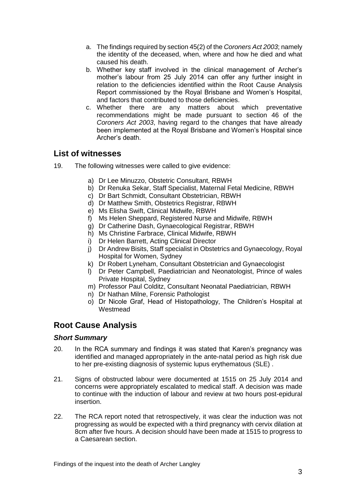- a. The findings required by section 45(2) of the *Coroners Act 2003*; namely the identity of the deceased, when, where and how he died and what caused his death.
- b. Whether key staff involved in the clinical management of Archer's mother's labour from 25 July 2014 can offer any further insight in relation to the deficiencies identified within the Root Cause Analysis Report commissioned by the Royal Brisbane and Women's Hospital, and factors that contributed to those deficiencies.
- c. Whether there are any matters about which preventative recommendations might be made pursuant to section 46 of the *Coroners Act 2003*, having regard to the changes that have already been implemented at the Royal Brisbane and Women's Hospital since Archer's death.

## <span id="page-6-0"></span>**List of witnesses**

- 19. The following witnesses were called to give evidence:
	- a) Dr Lee Minuzzo, Obstetric Consultant, RBWH
	- b) Dr Renuka Sekar, Staff Specialist, Maternal Fetal Medicine, RBWH
	- c) Dr Bart Schmidt, Consultant Obstetrician, RBWH
	- d) Dr Matthew Smith, Obstetrics Registrar, RBWH
	- e) Ms Elisha Swift, Clinical Midwife, RBWH
	- f) Ms Helen Sheppard, Registered Nurse and Midwife, RBWH
	- g) Dr Catherine Dash, Gynaecological Registrar, RBWH
	- h) Ms Christine Farbrace, Clinical Midwife, RBWH
	- i) Dr Helen Barrett, Acting Clinical Director
	- j) Dr Andrew Bisits, Staff specialist in Obstetrics and Gynaecology, Royal Hospital for Women, Sydney
	- k) Dr Robert Lyneham, Consultant Obstetrician and Gynaecologist
	- l) Dr Peter Campbell, Paediatrician and Neonatologist, Prince of wales Private Hospital, Sydney
	- m) Professor Paul Colditz, Consultant Neonatal Paediatrician, RBWH
	- n) Dr Nathan Milne, Forensic Pathologist
	- o) Dr Nicole Graf, Head of Histopathology, The Children's Hospital at **Westmead**

## <span id="page-6-1"></span>**Root Cause Analysis**

#### *Short Summary*

- 20. In the RCA summary and findings it was stated that Karen's pregnancy was identified and managed appropriately in the ante-natal period as high risk due to her pre-existing diagnosis of systemic lupus erythematous (SLE) .
- 21. Signs of obstructed labour were documented at 1515 on 25 July 2014 and concerns were appropriately escalated to medical staff. A decision was made to continue with the induction of labour and review at two hours post-epidural insertion.
- 22. The RCA report noted that retrospectively, it was clear the induction was not progressing as would be expected with a third pregnancy with cervix dilation at 8cm after five hours. A decision should have been made at 1515 to progress to a Caesarean section.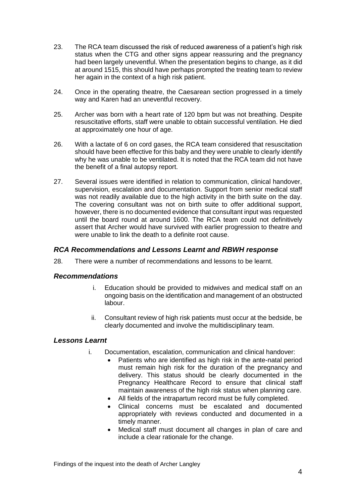- 23. The RCA team discussed the risk of reduced awareness of a patient's high risk status when the CTG and other signs appear reassuring and the pregnancy had been largely uneventful. When the presentation begins to change, as it did at around 1515, this should have perhaps prompted the treating team to review her again in the context of a high risk patient.
- 24. Once in the operating theatre, the Caesarean section progressed in a timely way and Karen had an uneventful recovery.
- 25. Archer was born with a heart rate of 120 bpm but was not breathing. Despite resuscitative efforts, staff were unable to obtain successful ventilation. He died at approximately one hour of age.
- 26. With a lactate of 6 on cord gases, the RCA team considered that resuscitation should have been effective for this baby and they were unable to clearly identify why he was unable to be ventilated. It is noted that the RCA team did not have the benefit of a final autopsy report.
- 27. Several issues were identified in relation to communication, clinical handover, supervision, escalation and documentation. Support from senior medical staff was not readily available due to the high activity in the birth suite on the day. The covering consultant was not on birth suite to offer additional support, however, there is no documented evidence that consultant input was requested until the board round at around 1600. The RCA team could not definitively assert that Archer would have survived with earlier progression to theatre and were unable to link the death to a definite root cause.

#### *RCA Recommendations and Lessons Learnt and RBWH response*

28. There were a number of recommendations and lessons to be learnt.

#### *Recommendations*

- i. Education should be provided to midwives and medical staff on an ongoing basis on the identification and management of an obstructed labour.
- ii. Consultant review of high risk patients must occur at the bedside, be clearly documented and involve the multidisciplinary team.

#### *Lessons Learnt*

- i. Documentation, escalation, communication and clinical handover:
	- Patients who are identified as high risk in the ante-natal period must remain high risk for the duration of the pregnancy and delivery. This status should be clearly documented in the Pregnancy Healthcare Record to ensure that clinical staff maintain awareness of the high risk status when planning care.
	- All fields of the intrapartum record must be fully completed.
	- Clinical concerns must be escalated and documented appropriately with reviews conducted and documented in a timely manner.
	- Medical staff must document all changes in plan of care and include a clear rationale for the change.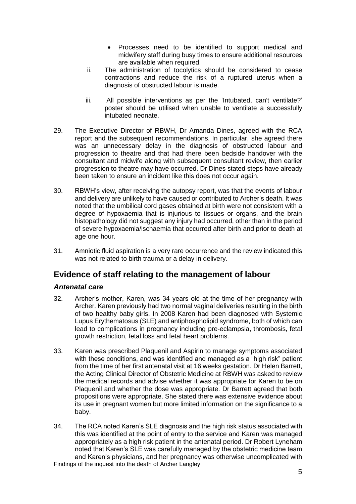- Processes need to be identified to support medical and midwifery staff during busy times to ensure additional resources are available when required.
- ii. The administration of tocolytics should be considered to cease contractions and reduce the risk of a ruptured uterus when a diagnosis of obstructed labour is made.
- iii. All possible interventions as per the 'Intubated, can't ventilate?' poster should be utilised when unable to ventilate a successfully intubated neonate.
- 29. The Executive Director of RBWH, Dr Amanda Dines, agreed with the RCA report and the subsequent recommendations. In particular, she agreed there was an unnecessary delay in the diagnosis of obstructed labour and progression to theatre and that had there been bedside handover with the consultant and midwife along with subsequent consultant review, then earlier progression to theatre may have occurred. Dr Dines stated steps have already been taken to ensure an incident like this does not occur again.
- 30. RBWH's view, after receiving the autopsy report, was that the events of labour and delivery are unlikely to have caused or contributed to Archer's death. It was noted that the umbilical cord gases obtained at birth were not consistent with a degree of hypoxaemia that is injurious to tissues or organs, and the brain histopathology did not suggest any injury had occurred, other than in the period of severe hypoxaemia/ischaemia that occurred after birth and prior to death at age one hour.
- 31. Amniotic fluid aspiration is a very rare occurrence and the review indicated this was not related to birth trauma or a delay in delivery.

## <span id="page-8-0"></span>**Evidence of staff relating to the management of labour**

#### <span id="page-8-1"></span>*Antenatal care*

- 32. Archer's mother, Karen, was 34 years old at the time of her pregnancy with Archer. Karen previously had two normal vaginal deliveries resulting in the birth of two healthy baby girls. In 2008 Karen had been diagnosed with Systemic Lupus Erythematosus (SLE) and antiphospholipid syndrome, both of which can lead to complications in pregnancy including pre-eclampsia, thrombosis, fetal growth restriction, fetal loss and fetal heart problems.
- 33. Karen was prescribed Plaquenil and Aspirin to manage symptoms associated with these conditions, and was identified and managed as a "high risk" patient from the time of her first antenatal visit at 16 weeks gestation. Dr Helen Barrett, the Acting Clinical Director of Obstetric Medicine at RBWH was asked to review the medical records and advise whether it was appropriate for Karen to be on Plaquenil and whether the dose was appropriate. Dr Barrett agreed that both propositions were appropriate. She stated there was extensive evidence about its use in pregnant women but more limited information on the significance to a baby.
- Findings of the inquest into the death of Archer Langley 34. The RCA noted Karen's SLE diagnosis and the high risk status associated with this was identified at the point of entry to the service and Karen was managed appropriately as a high risk patient in the antenatal period. Dr Robert Lyneham noted that Karen's SLE was carefully managed by the obstetric medicine team and Karen's physicians, and her pregnancy was otherwise uncomplicated with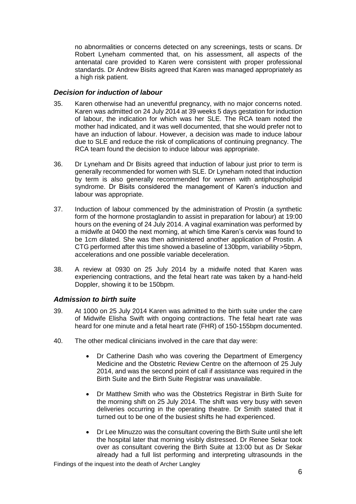no abnormalities or concerns detected on any screenings, tests or scans. Dr Robert Lyneham commented that, on his assessment, all aspects of the antenatal care provided to Karen were consistent with proper professional standards. Dr Andrew Bisits agreed that Karen was managed appropriately as a high risk patient.

#### <span id="page-9-0"></span>*Decision for induction of labour*

- 35. Karen otherwise had an uneventful pregnancy, with no major concerns noted. Karen was admitted on 24 July 2014 at 39 weeks 5 days gestation for induction of labour, the indication for which was her SLE. The RCA team noted the mother had indicated, and it was well documented, that she would prefer not to have an induction of labour. However, a decision was made to induce labour due to SLE and reduce the risk of complications of continuing pregnancy. The RCA team found the decision to induce labour was appropriate.
- 36. Dr Lyneham and Dr Bisits agreed that induction of labour just prior to term is generally recommended for women with SLE. Dr Lyneham noted that induction by term is also generally recommended for women with antiphospholipid syndrome. Dr Bisits considered the management of Karen's induction and labour was appropriate.
- 37. Induction of labour commenced by the administration of Prostin (a synthetic form of the hormone prostaglandin to assist in preparation for labour) at 19:00 hours on the evening of 24 July 2014. A vaginal examination was performed by a midwife at 0400 the next morning, at which time Karen's cervix was found to be 1cm dilated. She was then administered another application of Prostin. A CTG performed after this time showed a baseline of 130bpm, variability >5bpm, accelerations and one possible variable deceleration.
- 38. A review at 0930 on 25 July 2014 by a midwife noted that Karen was experiencing contractions, and the fetal heart rate was taken by a hand-held Doppler, showing it to be 150bpm.

#### <span id="page-9-1"></span>*Admission to birth suite*

- 39. At 1000 on 25 July 2014 Karen was admitted to the birth suite under the care of Midwife Elisha Swift with ongoing contractions. The fetal heart rate was heard for one minute and a fetal heart rate (FHR) of 150-155bpm documented.
- 40. The other medical clinicians involved in the care that day were:
	- Dr Catherine Dash who was covering the Department of Emergency Medicine and the Obstetric Review Centre on the afternoon of 25 July 2014, and was the second point of call if assistance was required in the Birth Suite and the Birth Suite Registrar was unavailable.
	- Dr Matthew Smith who was the Obstetrics Registrar in Birth Suite for the morning shift on 25 July 2014. The shift was very busy with seven deliveries occurring in the operating theatre. Dr Smith stated that it turned out to be one of the busiest shifts he had experienced.
	- Dr Lee Minuzzo was the consultant covering the Birth Suite until she left the hospital later that morning visibly distressed. Dr Renee Sekar took over as consultant covering the Birth Suite at 13:00 but as Dr Sekar already had a full list performing and interpreting ultrasounds in the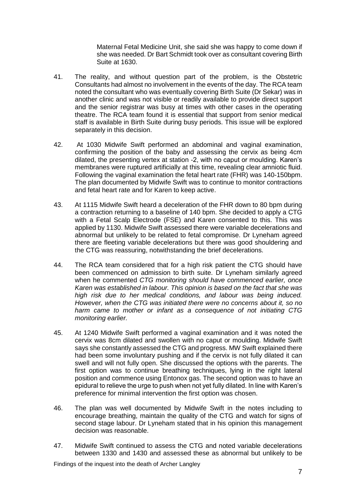Maternal Fetal Medicine Unit, she said she was happy to come down if she was needed. Dr Bart Schmidt took over as consultant covering Birth Suite at 1630.

- 41. The reality, and without question part of the problem, is the Obstetric Consultants had almost no involvement in the events of the day. The RCA team noted the consultant who was eventually covering Birth Suite (Dr Sekar) was in another clinic and was not visible or readily available to provide direct support and the senior registrar was busy at times with other cases in the operating theatre. The RCA team found it is essential that support from senior medical staff is available in Birth Suite during busy periods. This issue will be explored separately in this decision.
- 42. At 1030 Midwife Swift performed an abdominal and vaginal examination, confirming the position of the baby and assessing the cervix as being 4cm dilated, the presenting vertex at station -2, with no caput or moulding. Karen's membranes were ruptured artificially at this time, revealing clear amniotic fluid. Following the vaginal examination the fetal heart rate (FHR) was 140-150bpm. The plan documented by Midwife Swift was to continue to monitor contractions and fetal heart rate and for Karen to keep active.
- 43. At 1115 Midwife Swift heard a deceleration of the FHR down to 80 bpm during a contraction returning to a baseline of 140 bpm. She decided to apply a CTG with a Fetal Scalp Electrode (FSE) and Karen consented to this. This was applied by 1130. Midwife Swift assessed there were variable decelerations and abnormal but unlikely to be related to fetal compromise. Dr Lyneham agreed there are fleeting variable decelerations but there was good shouldering and the CTG was reassuring, notwithstanding the brief decelerations.
- 44. The RCA team considered that for a high risk patient the CTG should have been commenced on admission to birth suite. Dr Lyneham similarly agreed when he commented *CTG monitoring should have commenced earlier, once Karen was established in labour. This opinion is based on the fact that she was high risk due to her medical conditions, and labour was being induced. However, when the CTG was initiated there were no concerns about it, so no harm came to mother or infant as a consequence of not initiating CTG monitoring earlier.*
- 45. At 1240 Midwife Swift performed a vaginal examination and it was noted the cervix was 8cm dilated and swollen with no caput or moulding. Midwife Swift says she constantly assessed the CTG and progress. MW Swift explained there had been some involuntary pushing and if the cervix is not fully dilated it can swell and will not fully open. She discussed the options with the parents. The first option was to continue breathing techniques, lying in the right lateral position and commence using Entonox gas. The second option was to have an epidural to relieve the urge to push when not yet fully dilated. In line with Karen's preference for minimal intervention the first option was chosen.
- 46. The plan was well documented by Midwife Swift in the notes including to encourage breathing, maintain the quality of the CTG and watch for signs of second stage labour. Dr Lyneham stated that in his opinion this management decision was reasonable.
- 47. Midwife Swift continued to assess the CTG and noted variable decelerations between 1330 and 1430 and assessed these as abnormal but unlikely to be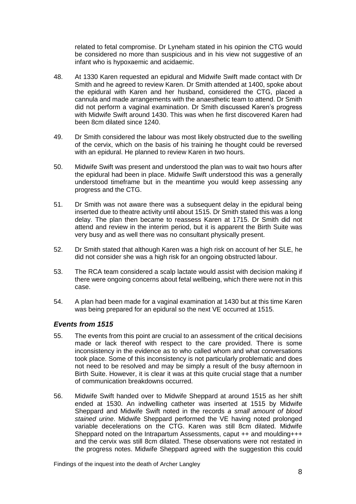related to fetal compromise. Dr Lyneham stated in his opinion the CTG would be considered no more than suspicious and in his view not suggestive of an infant who is hypoxaemic and acidaemic.

- 48. At 1330 Karen requested an epidural and Midwife Swift made contact with Dr Smith and he agreed to review Karen. Dr Smith attended at 1400, spoke about the epidural with Karen and her husband, considered the CTG, placed a cannula and made arrangements with the anaesthetic team to attend. Dr Smith did not perform a vaginal examination. Dr Smith discussed Karen's progress with Midwife Swift around 1430. This was when he first discovered Karen had been 8cm dilated since 1240.
- 49. Dr Smith considered the labour was most likely obstructed due to the swelling of the cervix, which on the basis of his training he thought could be reversed with an epidural. He planned to review Karen in two hours.
- 50. Midwife Swift was present and understood the plan was to wait two hours after the epidural had been in place. Midwife Swift understood this was a generally understood timeframe but in the meantime you would keep assessing any progress and the CTG.
- 51. Dr Smith was not aware there was a subsequent delay in the epidural being inserted due to theatre activity until about 1515. Dr Smith stated this was a long delay. The plan then became to reassess Karen at 1715. Dr Smith did not attend and review in the interim period, but it is apparent the Birth Suite was very busy and as well there was no consultant physically present.
- 52. Dr Smith stated that although Karen was a high risk on account of her SLE, he did not consider she was a high risk for an ongoing obstructed labour.
- 53. The RCA team considered a scalp lactate would assist with decision making if there were ongoing concerns about fetal wellbeing, which there were not in this case.
- 54. A plan had been made for a vaginal examination at 1430 but at this time Karen was being prepared for an epidural so the next VE occurred at 1515.

#### <span id="page-11-0"></span>*Events from 1515*

- 55. The events from this point are crucial to an assessment of the critical decisions made or lack thereof with respect to the care provided. There is some inconsistency in the evidence as to who called whom and what conversations took place. Some of this inconsistency is not particularly problematic and does not need to be resolved and may be simply a result of the busy afternoon in Birth Suite. However, it is clear it was at this quite crucial stage that a number of communication breakdowns occurred.
- 56. Midwife Swift handed over to Midwife Sheppard at around 1515 as her shift ended at 1530. An indwelling catheter was inserted at 1515 by Midwife Sheppard and Midwife Swift noted in the records *a small amount of blood stained urine*. Midwife Sheppard performed the VE having noted prolonged variable decelerations on the CTG. Karen was still 8cm dilated. Midwife Sheppard noted on the Intrapartum Assessments, caput ++ and moulding+++ and the cervix was still 8cm dilated. These observations were not restated in the progress notes. Midwife Sheppard agreed with the suggestion this could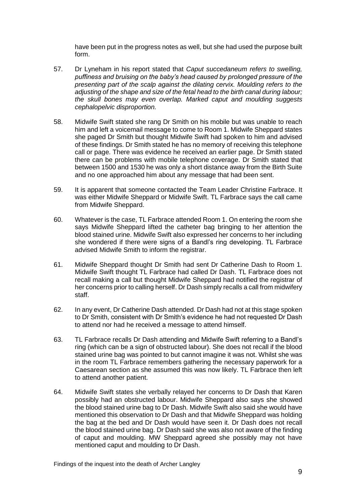have been put in the progress notes as well, but she had used the purpose built form.

- 57. Dr Lyneham in his report stated that *Caput succedaneum refers to swelling, puffiness and bruising on the baby's head caused by prolonged pressure of the presenting part of the scalp against the dilating cervix. Moulding refers to the adjusting of the shape and size of the fetal head to the birth canal during labour; the skull bones may even overlap. Marked caput and moulding suggests cephalopelvic disproportion.*
- 58. Midwife Swift stated she rang Dr Smith on his mobile but was unable to reach him and left a voicemail message to come to Room 1. Midwife Sheppard states she paged Dr Smith but thought Midwife Swift had spoken to him and advised of these findings. Dr Smith stated he has no memory of receiving this telephone call or page. There was evidence he received an earlier page. Dr Smith stated there can be problems with mobile telephone coverage. Dr Smith stated that between 1500 and 1530 he was only a short distance away from the Birth Suite and no one approached him about any message that had been sent.
- 59. It is apparent that someone contacted the Team Leader Christine Farbrace. It was either Midwife Sheppard or Midwife Swift. TL Farbrace says the call came from Midwife Sheppard.
- 60. Whatever is the case, TL Farbrace attended Room 1. On entering the room she says Midwife Sheppard lifted the catheter bag bringing to her attention the blood stained urine. Midwife Swift also expressed her concerns to her including she wondered if there were signs of a Bandl's ring developing. TL Farbrace advised Midwife Smith to inform the registrar.
- 61. Midwife Sheppard thought Dr Smith had sent Dr Catherine Dash to Room 1. Midwife Swift thought TL Farbrace had called Dr Dash. TL Farbrace does not recall making a call but thought Midwife Sheppard had notified the registrar of her concerns prior to calling herself. Dr Dash simply recalls a call from midwifery staff.
- 62. In any event, Dr Catherine Dash attended. Dr Dash had not at this stage spoken to Dr Smith, consistent with Dr Smith's evidence he had not requested Dr Dash to attend nor had he received a message to attend himself.
- 63. TL Farbrace recalls Dr Dash attending and Midwife Swift referring to a Bandl's ring (which can be a sign of obstructed labour). She does not recall if the blood stained urine bag was pointed to but cannot imagine it was not. Whilst she was in the room TL Farbrace remembers gathering the necessary paperwork for a Caesarean section as she assumed this was now likely. TL Farbrace then left to attend another patient.
- 64. Midwife Swift states she verbally relayed her concerns to Dr Dash that Karen possibly had an obstructed labour. Midwife Sheppard also says she showed the blood stained urine bag to Dr Dash. Midwife Swift also said she would have mentioned this observation to Dr Dash and that Midwife Sheppard was holding the bag at the bed and Dr Dash would have seen it. Dr Dash does not recall the blood stained urine bag. Dr Dash said she was also not aware of the finding of caput and moulding. MW Sheppard agreed she possibly may not have mentioned caput and moulding to Dr Dash.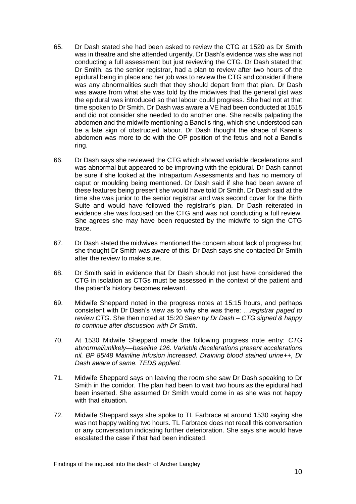- 65. Dr Dash stated she had been asked to review the CTG at 1520 as Dr Smith was in theatre and she attended urgently. Dr Dash's evidence was she was not conducting a full assessment but just reviewing the CTG. Dr Dash stated that Dr Smith, as the senior registrar, had a plan to review after two hours of the epidural being in place and her job was to review the CTG and consider if there was any abnormalities such that they should depart from that plan. Dr Dash was aware from what she was told by the midwives that the general gist was the epidural was introduced so that labour could progress. She had not at that time spoken to Dr Smith. Dr Dash was aware a VE had been conducted at 1515 and did not consider she needed to do another one. She recalls palpating the abdomen and the midwife mentioning a Bandl's ring, which she understood can be a late sign of obstructed labour. Dr Dash thought the shape of Karen's abdomen was more to do with the OP position of the fetus and not a Bandl's ring.
- 66. Dr Dash says she reviewed the CTG which showed variable decelerations and was abnormal but appeared to be improving with the epidural. Dr Dash cannot be sure if she looked at the Intrapartum Assessments and has no memory of caput or moulding being mentioned. Dr Dash said if she had been aware of these features being present she would have told Dr Smith. Dr Dash said at the time she was junior to the senior registrar and was second cover for the Birth Suite and would have followed the registrar's plan. Dr Dash reiterated in evidence she was focused on the CTG and was not conducting a full review. She agrees she may have been requested by the midwife to sign the CTG trace.
- 67. Dr Dash stated the midwives mentioned the concern about lack of progress but she thought Dr Smith was aware of this. Dr Dash says she contacted Dr Smith after the review to make sure.
- 68. Dr Smith said in evidence that Dr Dash should not just have considered the CTG in isolation as CTGs must be assessed in the context of the patient and the patient's history becomes relevant.
- 69. Midwife Sheppard noted in the progress notes at 15:15 hours, and perhaps consistent with Dr Dash's view as to why she was there: *…registrar paged to review CTG*. She then noted at 15:20 *Seen by Dr Dash – CTG signed & happy to continue after discussion with Dr Smith*.
- 70. At 1530 Midwife Sheppard made the following progress note entry: *CTG abnormal/unlikely—baseline 126. Variable decelerations present accelerations nil. BP 85/48 Mainline infusion increased. Draining blood stained urine++, Dr Dash aware of same. TEDS applied.*
- 71. Midwife Sheppard says on leaving the room she saw Dr Dash speaking to Dr Smith in the corridor. The plan had been to wait two hours as the epidural had been inserted. She assumed Dr Smith would come in as she was not happy with that situation.
- 72. Midwife Sheppard says she spoke to TL Farbrace at around 1530 saying she was not happy waiting two hours. TL Farbrace does not recall this conversation or any conversation indicating further deterioration. She says she would have escalated the case if that had been indicated.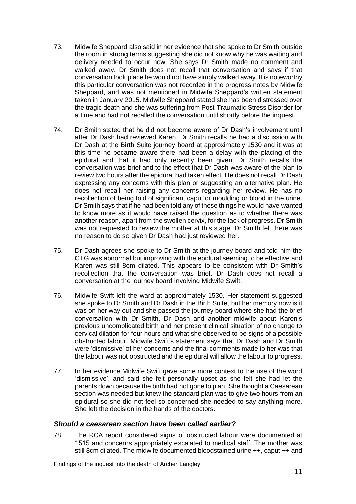- 73. Midwife Sheppard also said in her evidence that she spoke to Dr Smith outside the room in strong terms suggesting she did not know why he was waiting and delivery needed to occur now. She says Dr Smith made no comment and walked away. Dr Smith does not recall that conversation and says if that conversation took place he would not have simply walked away. It is noteworthy this particular conversation was not recorded in the progress notes by Midwife Sheppard, and was not mentioned in Midwife Sheppard's written statement taken in January 2015. Midwife Sheppard stated she has been distressed over the tragic death and she was suffering from Post-Traumatic Stress Disorder for a time and had not recalled the conversation until shortly before the inquest.
- 74. Dr Smith stated that he did not become aware of Dr Dash's involvement until after Dr Dash had reviewed Karen. Dr Smith recalls he had a discussion with Dr Dash at the Birth Suite journey board at approximately 1530 and it was at this time he became aware there had been a delay with the placing of the epidural and that it had only recently been given. Dr Smith recalls the conversation was brief and to the effect that Dr Dash was aware of the plan to review two hours after the epidural had taken effect. He does not recall Dr Dash expressing any concerns with this plan or suggesting an alternative plan. He does not recall her raising any concerns regarding her review. He has no recollection of being told of significant caput or moulding or blood in the urine. Dr Smith says that if he had been told any of these things he would have wanted to know more as it would have raised the question as to whether there was another reason, apart from the swollen cervix, for the lack of progress. Dr Smith was not requested to review the mother at this stage. Dr Smith felt there was no reason to do so given Dr Dash had just reviewed her.
- 75. Dr Dash agrees she spoke to Dr Smith at the journey board and told him the CTG was abnormal but improving with the epidural seeming to be effective and Karen was still 8cm dilated. This appears to be consistent with Dr Smith's recollection that the conversation was brief. Dr Dash does not recall a conversation at the journey board involving Midwife Swift.
- 76. Midwife Swift left the ward at approximately 1530. Her statement suggested she spoke to Dr Smith and Dr Dash in the Birth Suite, but her memory now is it was on her way out and she passed the journey board where she had the brief conversation with Dr Smith, Dr Dash and another midwife about Karen's previous uncomplicated birth and her present clinical situation of no change to cervical dilation for four hours and what she observed to be signs of a possible obstructed labour. Midwife Swift's statement says that Dr Dash and Dr Smith were 'dismissive' of her concerns and the final comments made to her was that the labour was not obstructed and the epidural will allow the labour to progress.
- 77. In her evidence Midwife Swift gave some more context to the use of the word 'dismissive', and said she felt personally upset as she felt she had let the parents down because the birth had not gone to plan. She thought a Caesarean section was needed but knew the standard plan was to give two hours from an epidural so she did not feel so concerned she needed to say anything more. She left the decision in the hands of the doctors.

#### <span id="page-14-0"></span>*Should a caesarean section have been called earlier?*

78. The RCA report considered signs of obstructed labour were documented at 1515 and concerns appropriately escalated to medical staff. The mother was still 8cm dilated. The midwife documented bloodstained urine ++, caput ++ and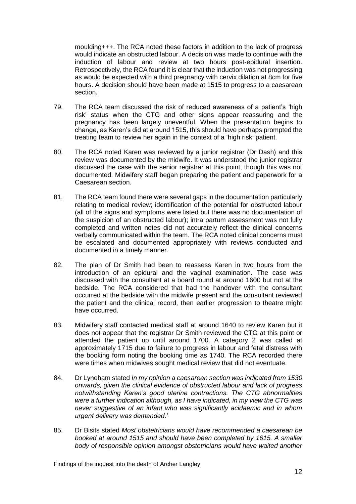moulding+++. The RCA noted these factors in addition to the lack of progress would indicate an obstructed labour. A decision was made to continue with the induction of labour and review at two hours post-epidural insertion. Retrospectively, the RCA found it is clear that the induction was not progressing as would be expected with a third pregnancy with cervix dilation at 8cm for five hours. A decision should have been made at 1515 to progress to a caesarean section.

- 79. The RCA team discussed the risk of reduced awareness of a patient's 'high risk' status when the CTG and other signs appear reassuring and the pregnancy has been largely uneventful. When the presentation begins to change, as Karen's did at around 1515, this should have perhaps prompted the treating team to review her again in the context of a 'high risk' patient.
- 80. The RCA noted Karen was reviewed by a junior registrar (Dr Dash) and this review was documented by the midwife. It was understood the junior registrar discussed the case with the senior registrar at this point, though this was not documented. Midwifery staff began preparing the patient and paperwork for a Caesarean section.
- 81. The RCA team found there were several gaps in the documentation particularly relating to medical review; identification of the potential for obstructed labour (all of the signs and symptoms were listed but there was no documentation of the suspicion of an obstructed labour); intra partum assessment was not fully completed and written notes did not accurately reflect the clinical concerns verbally communicated within the team. The RCA noted clinical concerns must be escalated and documented appropriately with reviews conducted and documented in a timely manner.
- 82. The plan of Dr Smith had been to reassess Karen in two hours from the introduction of an epidural and the vaginal examination. The case was discussed with the consultant at a board round at around 1600 but not at the bedside. The RCA considered that had the handover with the consultant occurred at the bedside with the midwife present and the consultant reviewed the patient and the clinical record, then earlier progression to theatre might have occurred.
- 83. Midwifery staff contacted medical staff at around 1640 to review Karen but it does not appear that the registrar Dr Smith reviewed the CTG at this point or attended the patient up until around 1700. A category 2 was called at approximately 1715 due to failure to progress in labour and fetal distress with the booking form noting the booking time as 1740. The RCA recorded there were times when midwives sought medical review that did not eventuate.
- 84. Dr Lyneham stated *In my opinion a caesarean section was indicated from 1530 onwards, given the clinical evidence of obstructed labour and lack of progress notwithstanding Karen's good uterine contractions. The CTG abnormalities were a further indication although, as I have indicated, in my view the CTG was never suggestive of an infant who was significantly acidaemic and in whom urgent delivery was demanded.'*
- 85. Dr Bisits stated *Most obstetricians would have recommended a caesarean be booked at around 1515 and should have been completed by 1615. A smaller body of responsible opinion amongst obstetricians would have waited another*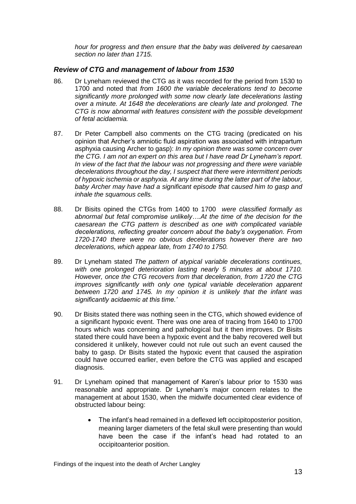*hour for progress and then ensure that the baby was delivered by caesarean section no later than 1715.*

#### <span id="page-16-0"></span>*Review of CTG and management of labour from 1530*

- 86. Dr Lyneham reviewed the CTG as it was recorded for the period from 1530 to 1700 and noted that *from 1600 the variable decelerations tend to become significantly more prolonged with some now clearly late decelerations lasting over a minute. At 1648 the decelerations are clearly late and prolonged. The CTG is now abnormal with features consistent with the possible development of fetal acidaemia.*
- 87. Dr Peter Campbell also comments on the CTG tracing (predicated on his opinion that Archer's amniotic fluid aspiration was associated with intrapartum asphyxia causing Archer to gasp): *In my opinion there was some concern over the CTG. I am not an expert on this area but I have read Dr Lyneham's report. In view of the fact that the labour was not progressing and there were variable decelerations throughout the day, I suspect that there were intermittent periods of hypoxic ischemia or asphyxia. At any time during the latter part of the labour, baby Archer may have had a significant episode that caused him to gasp and inhale the squamous cells.*
- 88. Dr Bisits opined the CTGs from 1400 to 1700 *were classified formally as abnormal but fetal compromise unlikely….At the time of the decision for the caesarean the CTG pattern is described as one with complicated variable decelerations, reflecting greater concern about the baby's oxygenation. From 1720-1740 there were no obvious decelerations however there are two decelerations, which appear late, from 1740 to 1750.*
- 89. Dr Lyneham stated *The pattern of atypical variable decelerations continues, with one prolonged deterioration lasting nearly 5 minutes at about 1710. However, once the CTG recovers from that deceleration, from 1720 the CTG improves significantly with only one typical variable deceleration apparent between 1720 and 1745. In my opinion it is unlikely that the infant was significantly acidaemic at this time.'*
- 90. Dr Bisits stated there was nothing seen in the CTG, which showed evidence of a significant hypoxic event. There was one area of tracing from 1640 to 1700 hours which was concerning and pathological but it then improves. Dr Bisits stated there could have been a hypoxic event and the baby recovered well but considered it unlikely, however could not rule out such an event caused the baby to gasp. Dr Bisits stated the hypoxic event that caused the aspiration could have occurred earlier, even before the CTG was applied and escaped diagnosis.
- 91. Dr Lyneham opined that management of Karen's labour prior to 1530 was reasonable and appropriate. Dr Lyneham's major concern relates to the management at about 1530, when the midwife documented clear evidence of obstructed labour being:
	- The infant's head remained in a deflexed left occipitoposterior position, meaning larger diameters of the fetal skull were presenting than would have been the case if the infant's head had rotated to an occipitoanterior position.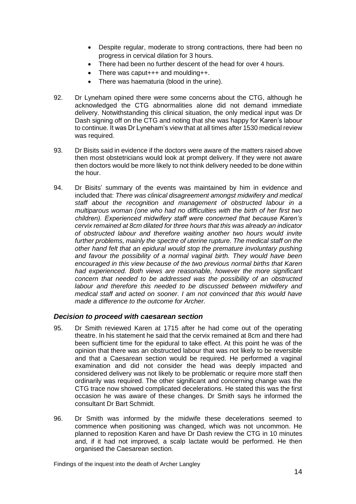- Despite regular, moderate to strong contractions, there had been no progress in cervical dilation for 3 hours.
- There had been no further descent of the head for over 4 hours.
- There was caput+++ and moulding++.
- There was haematuria (blood in the urine).
- 92. Dr Lyneham opined there were some concerns about the CTG, although he acknowledged the CTG abnormalities alone did not demand immediate delivery. Notwithstanding this clinical situation, the only medical input was Dr Dash signing off on the CTG and noting that she was happy for Karen's labour to continue. It was Dr Lyneham's view that at all times after 1530 medical review was required.
- 93. Dr Bisits said in evidence if the doctors were aware of the matters raised above then most obstetricians would look at prompt delivery. If they were not aware then doctors would be more likely to not think delivery needed to be done within the hour.
- 94. Dr Bisits' summary of the events was maintained by him in evidence and included that: *There was clinical disagreement amongst midwifery and medical staff about the recognition and management of obstructed labour in a multiparous woman (one who had no difficulties with the birth of her first two children). Experienced midwifery staff were concerned that because Karen's cervix remained at 8cm dilated for three hours that this was already an indicator of obstructed labour and therefore waiting another two hours would invite further problems, mainly the spectre of uterine rupture. The medical staff on the other hand felt that an epidural would stop the premature involuntary pushing and favour the possibility of a normal vaginal birth. They would have been encouraged in this view because of the two previous normal births that Karen had experienced. Both views are reasonable, however the more significant concern that needed to be addressed was the possibility of an obstructed labour and therefore this needed to be discussed between midwifery and medical staff and acted on sooner. I am not convinced that this would have made a difference to the outcome for Archer.*

#### <span id="page-17-0"></span>*Decision to proceed with caesarean section*

- 95. Dr Smith reviewed Karen at 1715 after he had come out of the operating theatre. In his statement he said that the cervix remained at 8cm and there had been sufficient time for the epidural to take effect. At this point he was of the opinion that there was an obstructed labour that was not likely to be reversible and that a Caesarean section would be required. He performed a vaginal examination and did not consider the head was deeply impacted and considered delivery was not likely to be problematic or require more staff then ordinarily was required. The other significant and concerning change was the CTG trace now showed complicated decelerations. He stated this was the first occasion he was aware of these changes. Dr Smith says he informed the consultant Dr Bart Schmidt.
- 96. Dr Smith was informed by the midwife these decelerations seemed to commence when positioning was changed, which was not uncommon. He planned to reposition Karen and have Dr Dash review the CTG in 10 minutes and, if it had not improved, a scalp lactate would be performed. He then organised the Caesarean section.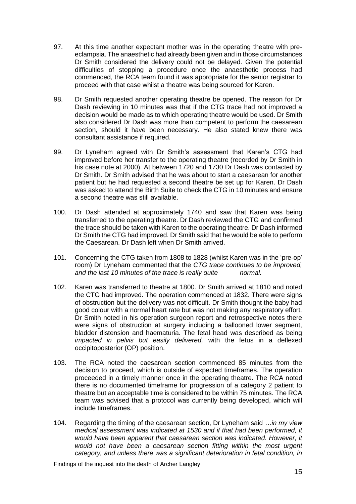- 97. At this time another expectant mother was in the operating theatre with preeclampsia. The anaesthetic had already been given and in those circumstances Dr Smith considered the delivery could not be delayed. Given the potential difficulties of stopping a procedure once the anaesthetic process had commenced, the RCA team found it was appropriate for the senior registrar to proceed with that case whilst a theatre was being sourced for Karen.
- 98. Dr Smith requested another operating theatre be opened. The reason for Dr Dash reviewing in 10 minutes was that if the CTG trace had not improved a decision would be made as to which operating theatre would be used. Dr Smith also considered Dr Dash was more than competent to perform the caesarean section, should it have been necessary. He also stated knew there was consultant assistance if required.
- 99. Dr Lyneham agreed with Dr Smith's assessment that Karen's CTG had improved before her transfer to the operating theatre (recorded by Dr Smith in his case note at 2000). At between 1720 and 1730 Dr Dash was contacted by Dr Smith. Dr Smith advised that he was about to start a caesarean for another patient but he had requested a second theatre be set up for Karen. Dr Dash was asked to attend the Birth Suite to check the CTG in 10 minutes and ensure a second theatre was still available.
- 100. Dr Dash attended at approximately 1740 and saw that Karen was being transferred to the operating theatre. Dr Dash reviewed the CTG and confirmed the trace should be taken with Karen to the operating theatre. Dr Dash informed Dr Smith the CTG had improved. Dr Smith said that he would be able to perform the Caesarean. Dr Dash left when Dr Smith arrived.
- 101. Concerning the CTG taken from 1808 to 1828 (whilst Karen was in the 'pre-op' room) Dr Lyneham commented that the *CTG trace continues to be improved, and the last 10 minutes of the trace is really quite normal.*
- 102. Karen was transferred to theatre at 1800. Dr Smith arrived at 1810 and noted the CTG had improved. The operation commenced at 1832. There were signs of obstruction but the delivery was not difficult. Dr Smith thought the baby had good colour with a normal heart rate but was not making any respiratory effort. Dr Smith noted in his operation surgeon report and retrospective notes there were signs of obstruction at surgery including a ballooned lower segment, bladder distension and haematuria. The fetal head was described as being *impacted in pelvis but easily delivered,* with the fetus in a deflexed occipitoposterior (OP) position.
- 103. The RCA noted the caesarean section commenced 85 minutes from the decision to proceed, which is outside of expected timeframes. The operation proceeded in a timely manner once in the operating theatre. The RCA noted there is no documented timeframe for progression of a category 2 patient to theatre but an acceptable time is considered to be within 75 minutes. The RCA team was advised that a protocol was currently being developed, which will include timeframes.
- 104. Regarding the timing of the caesarean section, Dr Lyneham said *…in my view medical assessment was indicated at 1530 and if that had been performed, it would have been apparent that caesarean section was indicated. However, it would not have been a caesarean section fitting within the most urgent category, and unless there was a significant deterioration in fetal condition, in*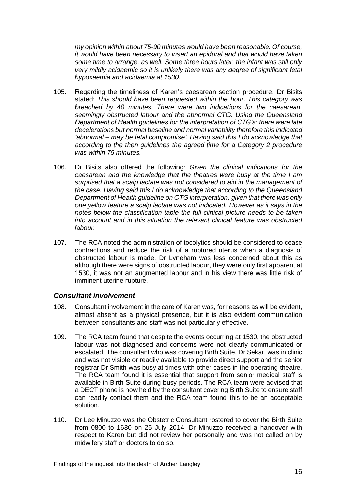*my opinion within about 75-90 minutes would have been reasonable. Of course, it would have been necessary to insert an epidural and that would have taken some time to arrange, as well. Some three hours later, the infant was still only very mildly acidaemic so it is unlikely there was any degree of significant fetal hypoxaemia and acidaemia at 1530.*

- 105. Regarding the timeliness of Karen's caesarean section procedure, Dr Bisits stated: *This should have been requested within the hour. This category was breached by 40 minutes. There were two indications for the caesarean, seemingly obstructed labour and the abnormal CTG. Using the Queensland Department of Health guidelines for the interpretation of CTG's: there were late decelerations but normal baseline and normal variability therefore this indicated 'abnormal – may be fetal compromise'. Having said this I do acknowledge that according to the then guidelines the agreed time for a Category 2 procedure was within 75 minutes.*
- 106. Dr Bisits also offered the following: *Given the clinical indications for the caesarean and the knowledge that the theatres were busy at the time I am surprised that a scalp lactate was not considered to aid in the management of the case. Having said this I do acknowledge that according to the Queensland Department of Health guideline on CTG interpretation, given that there was only one yellow feature a scalp lactate was not indicated. However as it says in the notes below the classification table the full clinical picture needs to be taken into account and in this situation the relevant clinical feature was obstructed labour.*
- 107. The RCA noted the administration of tocolytics should be considered to cease contractions and reduce the risk of a ruptured uterus when a diagnosis of obstructed labour is made. Dr Lyneham was less concerned about this as although there were signs of obstructed labour, they were only first apparent at 1530, it was not an augmented labour and in his view there was little risk of imminent uterine rupture.

#### <span id="page-19-0"></span>*Consultant involvement*

- 108. Consultant involvement in the care of Karen was, for reasons as will be evident, almost absent as a physical presence, but it is also evident communication between consultants and staff was not particularly effective.
- 109. The RCA team found that despite the events occurring at 1530, the obstructed labour was not diagnosed and concerns were not clearly communicated or escalated. The consultant who was covering Birth Suite, Dr Sekar, was in clinic and was not visible or readily available to provide direct support and the senior registrar Dr Smith was busy at times with other cases in the operating theatre. The RCA team found it is essential that support from senior medical staff is available in Birth Suite during busy periods. The RCA team were advised that a DECT phone is now held by the consultant covering Birth Suite to ensure staff can readily contact them and the RCA team found this to be an acceptable solution.
- 110. Dr Lee Minuzzo was the Obstetric Consultant rostered to cover the Birth Suite from 0800 to 1630 on 25 July 2014. Dr Minuzzo received a handover with respect to Karen but did not review her personally and was not called on by midwifery staff or doctors to do so.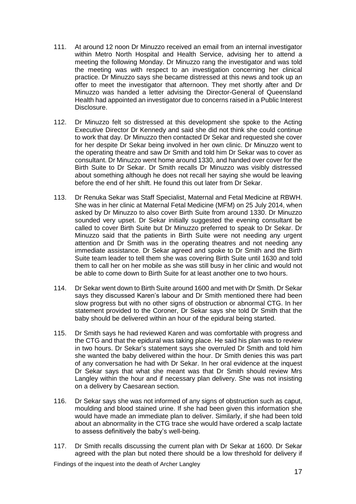- 111. At around 12 noon Dr Minuzzo received an email from an internal investigator within Metro North Hospital and Health Service, advising her to attend a meeting the following Monday. Dr Minuzzo rang the investigator and was told the meeting was with respect to an investigation concerning her clinical practice. Dr Minuzzo says she became distressed at this news and took up an offer to meet the investigator that afternoon. They met shortly after and Dr Minuzzo was handed a letter advising the Director-General of Queensland Health had appointed an investigator due to concerns raised in a Public Interest Disclosure.
- 112. Dr Minuzzo felt so distressed at this development she spoke to the Acting Executive Director Dr Kennedy and said she did not think she could continue to work that day. Dr Minuzzo then contacted Dr Sekar and requested she cover for her despite Dr Sekar being involved in her own clinic. Dr Minuzzo went to the operating theatre and saw Dr Smith and told him Dr Sekar was to cover as consultant. Dr Minuzzo went home around 1330, and handed over cover for the Birth Suite to Dr Sekar. Dr Smith recalls Dr Minuzzo was visibly distressed about something although he does not recall her saying she would be leaving before the end of her shift. He found this out later from Dr Sekar.
- 113. Dr Renuka Sekar was Staff Specialist, Maternal and Fetal Medicine at RBWH. She was in her clinic at Maternal Fetal Medicine (MFM) on 25 July 2014, when asked by Dr Minuzzo to also cover Birth Suite from around 1330. Dr Minuzzo sounded very upset. Dr Sekar initially suggested the evening consultant be called to cover Birth Suite but Dr Minuzzo preferred to speak to Dr Sekar. Dr Minuzzo said that the patients in Birth Suite were not needing any urgent attention and Dr Smith was in the operating theatres and not needing any immediate assistance. Dr Sekar agreed and spoke to Dr Smith and the Birth Suite team leader to tell them she was covering Birth Suite until 1630 and told them to call her on her mobile as she was still busy in her clinic and would not be able to come down to Birth Suite for at least another one to two hours.
- 114. Dr Sekar went down to Birth Suite around 1600 and met with Dr Smith. Dr Sekar says they discussed Karen's labour and Dr Smith mentioned there had been slow progress but with no other signs of obstruction or abnormal CTG. In her statement provided to the Coroner, Dr Sekar says she told Dr Smith that the baby should be delivered within an hour of the epidural being started.
- 115. Dr Smith says he had reviewed Karen and was comfortable with progress and the CTG and that the epidural was taking place. He said his plan was to review in two hours. Dr Sekar's statement says she overruled Dr Smith and told him she wanted the baby delivered within the hour. Dr Smith denies this was part of any conversation he had with Dr Sekar. In her oral evidence at the inquest Dr Sekar says that what she meant was that Dr Smith should review Mrs Langley within the hour and if necessary plan delivery. She was not insisting on a delivery by Caesarean section.
- 116. Dr Sekar says she was not informed of any signs of obstruction such as caput, moulding and blood stained urine. If she had been given this information she would have made an immediate plan to deliver. Similarly, if she had been told about an abnormality in the CTG trace she would have ordered a scalp lactate to assess definitively the baby's well-being.
- 117. Dr Smith recalls discussing the current plan with Dr Sekar at 1600. Dr Sekar agreed with the plan but noted there should be a low threshold for delivery if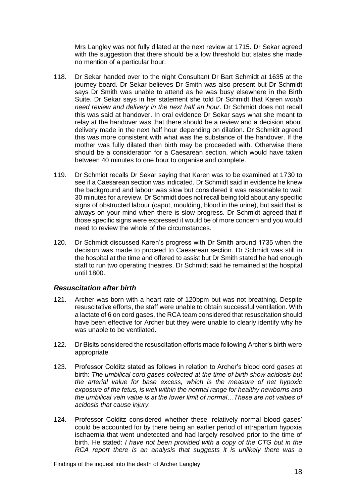Mrs Langley was not fully dilated at the next review at 1715. Dr Sekar agreed with the suggestion that there should be a low threshold but states she made no mention of a particular hour.

- 118. Dr Sekar handed over to the night Consultant Dr Bart Schmidt at 1635 at the journey board. Dr Sekar believes Dr Smith was also present but Dr Schmidt says Dr Smith was unable to attend as he was busy elsewhere in the Birth Suite. Dr Sekar says in her statement she told Dr Schmidt that Karen *would need review and delivery in the next half an hour*. Dr Schmidt does not recall this was said at handover. In oral evidence Dr Sekar says what she meant to relay at the handover was that there should be a review and a decision about delivery made in the next half hour depending on dilation. Dr Schmidt agreed this was more consistent with what was the substance of the handover. If the mother was fully dilated then birth may be proceeded with. Otherwise there should be a consideration for a Caesarean section, which would have taken between 40 minutes to one hour to organise and complete.
- 119. Dr Schmidt recalls Dr Sekar saying that Karen was to be examined at 1730 to see if a Caesarean section was indicated. Dr Schmidt said in evidence he knew the background and labour was slow but considered it was reasonable to wait 30 minutes for a review. Dr Schmidt does not recall being told about any specific signs of obstructed labour (caput, moulding, blood in the urine), but said that is always on your mind when there is slow progress. Dr Schmidt agreed that if those specific signs were expressed it would be of more concern and you would need to review the whole of the circumstances.
- 120. Dr Schmidt discussed Karen's progress with Dr Smith around 1735 when the decision was made to proceed to Caesarean section. Dr Schmidt was still in the hospital at the time and offered to assist but Dr Smith stated he had enough staff to run two operating theatres. Dr Schmidt said he remained at the hospital until 1800.

#### <span id="page-21-0"></span>*Resuscitation after birth*

- 121. Archer was born with a heart rate of 120bpm but was not breathing. Despite resuscitative efforts, the staff were unable to obtain successful ventilation. With a lactate of 6 on cord gases, the RCA team considered that resuscitation should have been effective for Archer but they were unable to clearly identify why he was unable to be ventilated.
- 122. Dr Bisits considered the resuscitation efforts made following Archer's birth were appropriate.
- 123. Professor Colditz stated as follows in relation to Archer's blood cord gases at birth: *The umbilical cord gases collected at the time of birth show acidosis but the arterial value for base excess, which is the measure of net hypoxic exposure of the fetus, is well within the normal range for healthy newborns and the umbilical vein value is at the lower limit of normal…These are not values of acidosis that cause injury.*
- 124. Professor Colditz considered whether these 'relatively normal blood gases' could be accounted for by there being an earlier period of intrapartum hypoxia ischaemia that went undetected and had largely resolved prior to the time of birth. He stated: *I have not been provided with a copy of the CTG but in the RCA report there is an analysis that suggests it is unlikely there was a*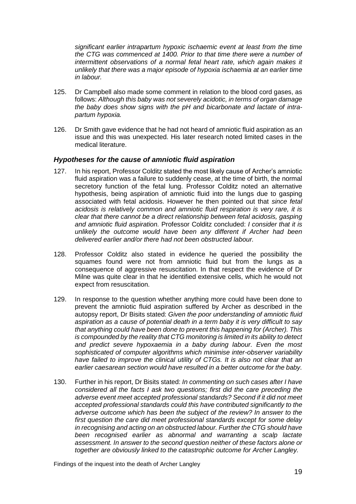*significant earlier intrapartum hypoxic ischaemic event at least from the time the CTG was commenced at 1400. Prior to that time there were a number of intermittent observations of a normal fetal heart rate, which again makes it unlikely that there was a major episode of hypoxia ischaemia at an earlier time in labour.*

- 125. Dr Campbell also made some comment in relation to the blood cord gases, as follows: *Although this baby was not severely acidotic, in terms of organ damage the baby does show signs with the pH and bicarbonate and lactate of intrapartum hypoxia.*
- 126. Dr Smith gave evidence that he had not heard of amniotic fluid aspiration as an issue and this was unexpected. His later research noted limited cases in the medical literature.

#### <span id="page-22-0"></span>*Hypotheses for the cause of amniotic fluid aspiration*

- 127. In his report, Professor Colditz stated the most likely cause of Archer's amniotic fluid aspiration was a failure to suddenly cease, at the time of birth, the normal secretory function of the fetal lung. Professor Colditz noted an alternative hypothesis, being aspiration of amniotic fluid into the lungs due to gasping associated with fetal acidosis. However he then pointed out that *since fetal acidosis is relatively common and amniotic fluid respiration is very rare, it is clear that there cannot be a direct relationship between fetal acidosis, gasping and amniotic fluid aspiration.* Professor Colditz concluded: *I consider that it is unlikely the outcome would have been any different if Archer had been delivered earlier and/or there had not been obstructed labour.*
- 128. Professor Colditz also stated in evidence he queried the possibility the squames found were not from amniotic fluid but from the lungs as a consequence of aggressive resuscitation. In that respect the evidence of Dr Milne was quite clear in that he identified extensive cells, which he would not expect from resuscitation.
- 129. In response to the question whether anything more could have been done to prevent the amniotic fluid aspiration suffered by Archer as described in the autopsy report, Dr Bisits stated: *Given the poor understanding of amniotic fluid aspiration as a cause of potential death in a term baby it is very difficult to say that anything could have been done to prevent this happening for (Archer). This is compounded by the reality that CTG monitoring is limited in its ability to detect and predict severe hypoxaemia in a baby during labour. Even the most sophisticated of computer algorithms which minimise inter-observer variability have failed to improve the clinical utility of CTGs. It is also not clear that an earlier caesarean section would have resulted in a better outcome for the baby.*
- 130. Further in his report, Dr Bisits stated: *In commenting on such cases after I have considered all the facts I ask two questions; first did the care preceding the adverse event meet accepted professional standards? Second if it did not meet accepted professional standards could this have contributed significantly to the adverse outcome which has been the subject of the review? In answer to the first question the care did meet professional standards except for some delay in recognising and acting on an obstructed labour. Further the CTG should have been recognised earlier as abnormal and warranting a scalp lactate assessment. In answer to the second question neither of these factors alone or together are obviously linked to the catastrophic outcome for Archer Langley.*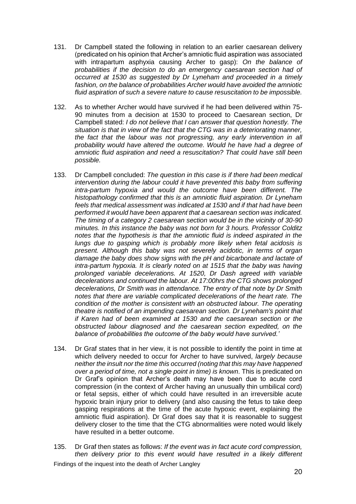- 131. Dr Campbell stated the following in relation to an earlier caesarean delivery (predicated on his opinion that Archer's amniotic fluid aspiration was associated with intrapartum asphyxia causing Archer to gasp): *On the balance of probabilities if the decision to do an emergency caesarean section had of occurred at 1530 as suggested by Dr Lyneham and proceeded in a timely fashion, on the balance of probabilities Archer would have avoided the amniotic fluid aspiration of such a severe nature to cause resuscitation to be impossible.*
- 132. As to whether Archer would have survived if he had been delivered within 75- 90 minutes from a decision at 1530 to proceed to Caesarean section, Dr Campbell stated: *I do not believe that I can answer that question honestly. The situation is that in view of the fact that the CTG was in a deteriorating manner, the fact that the labour was not progressing, any early intervention in all probability would have altered the outcome. Would he have had a degree of amniotic fluid aspiration and need a resuscitation? That could have still been possible.*
- 133. Dr Campbell concluded: *The question in this case is if there had been medical intervention during the labour could it have prevented this baby from suffering intra-partum hypoxia and would the outcome have been different. The histopathology confirmed that this is an amniotic fluid aspiration. Dr Lyneham feels that medical assessment was indicated at 1530 and if that had have been performed it would have been apparent that a caesarean section was indicated. The timing of a category 2 caesarean section would be in the vicinity of 30-90 minutes. In this instance the baby was not born for 3 hours. Professor Colditz notes that the hypothesis is that the amniotic fluid is indeed aspirated in the lungs due to gasping which is probably more likely when fetal acidosis is present. Although this baby was not severely acidotic, in terms of organ damage the baby does show signs with the pH and bicarbonate and lactate of intra-partum hypoxia. It is clearly noted on at 1515 that the baby was having prolonged variable decelerations. At 1520, Dr Dash agreed with variable decelerations and continued the labour. At 17:00hrs the CTG shows prolonged decelerations, Dr Smith was in attendance. The entry of that note by Dr Smith notes that there are variable complicated decelerations of the heart rate. The condition of the mother is consistent with an obstructed labour. The operating theatre is notified of an impending caesarean section. Dr Lyneham's point that if Karen had of been examined at 1530 and the caesarean section or the obstructed labour diagnosed and the caesarean section expedited, on the balance of probabilities the outcome of the baby would have survived.'*
- 134. Dr Graf states that in her view, it is not possible to identify the point in time at which delivery needed to occur for Archer to have survived, *largely because neither the insult nor the time this occurred (noting that this may have happened over a period of time, not a single point in time) is known*. This is predicated on Dr Graf's opinion that Archer's death may have been due to acute cord compression (in the context of Archer having an unusually thin umbilical cord) or fetal sepsis, either of which could have resulted in an irreversible acute hypoxic brain injury prior to delivery (and also causing the fetus to take deep gasping respirations at the time of the acute hypoxic event, explaining the amniotic fluid aspiration). Dr Graf does say that it is reasonable to suggest delivery closer to the time that the CTG abnormalities were noted would likely have resulted in a better outcome.
- 135. Dr Graf then states as follows: *If the event was in fact acute cord compression, then delivery prior to this event would have resulted in a likely different*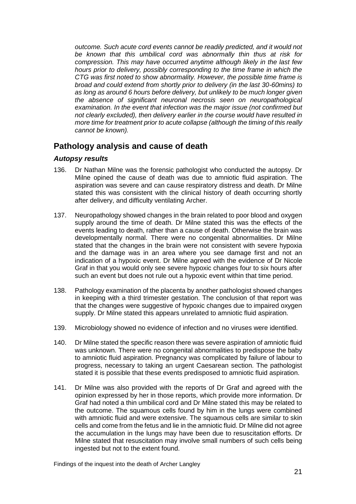*outcome. Such acute cord events cannot be readily predicted, and it would not be known that this umbilical cord was abnormally thin thus at risk for compression. This may have occurred anytime although likely in the last few hours prior to delivery, possibly corresponding to the time frame in which the CTG was first noted to show abnormality. However, the possible time frame is broad and could extend from shortly prior to delivery (in the last 30-60mins) to*  as long as around 6 hours before delivery, but unlikely to be much longer given *the absence of significant neuronal necrosis seen on neuropathological examination. In the event that infection was the major issue (not confirmed but not clearly excluded), then delivery earlier in the course would have resulted in more time for treatment prior to acute collapse (although the timing of this really cannot be known).*

### <span id="page-24-0"></span>**Pathology analysis and cause of death**

#### <span id="page-24-1"></span>*Autopsy results*

- 136. Dr Nathan Milne was the forensic pathologist who conducted the autopsy. Dr Milne opined the cause of death was due to amniotic fluid aspiration. The aspiration was severe and can cause respiratory distress and death. Dr Milne stated this was consistent with the clinical history of death occurring shortly after delivery, and difficulty ventilating Archer.
- 137. Neuropathology showed changes in the brain related to poor blood and oxygen supply around the time of death. Dr Milne stated this was the effects of the events leading to death, rather than a cause of death. Otherwise the brain was developmentally normal. There were no congenital abnormalities. Dr Milne stated that the changes in the brain were not consistent with severe hypoxia and the damage was in an area where you see damage first and not an indication of a hypoxic event. Dr Milne agreed with the evidence of Dr Nicole Graf in that you would only see severe hypoxic changes four to six hours after such an event but does not rule out a hypoxic event within that time period.
- 138. Pathology examination of the placenta by another pathologist showed changes in keeping with a third trimester gestation. The conclusion of that report was that the changes were suggestive of hypoxic changes due to impaired oxygen supply. Dr Milne stated this appears unrelated to amniotic fluid aspiration.
- 139. Microbiology showed no evidence of infection and no viruses were identified.
- 140. Dr Milne stated the specific reason there was severe aspiration of amniotic fluid was unknown. There were no congenital abnormalities to predispose the baby to amniotic fluid aspiration. Pregnancy was complicated by failure of labour to progress, necessary to taking an urgent Caesarean section. The pathologist stated it is possible that these events predisposed to amniotic fluid aspiration.
- 141. Dr Milne was also provided with the reports of Dr Graf and agreed with the opinion expressed by her in those reports, which provide more information. Dr Graf had noted a thin umbilical cord and Dr Milne stated this may be related to the outcome. The squamous cells found by him in the lungs were combined with amniotic fluid and were extensive. The squamous cells are similar to skin cells and come from the fetus and lie in the amniotic fluid. Dr Milne did not agree the accumulation in the lungs may have been due to resuscitation efforts. Dr Milne stated that resuscitation may involve small numbers of such cells being ingested but not to the extent found.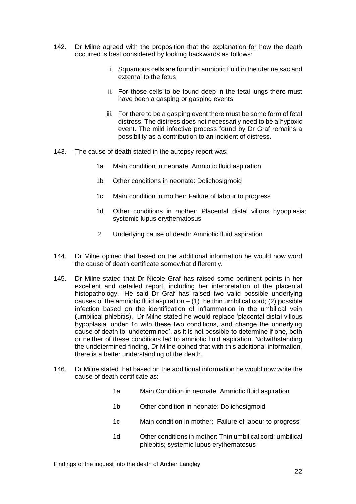- 142. Dr Milne agreed with the proposition that the explanation for how the death occurred is best considered by looking backwards as follows:
	- i. Squamous cells are found in amniotic fluid in the uterine sac and external to the fetus
	- ii. For those cells to be found deep in the fetal lungs there must have been a gasping or gasping events
	- iii. For there to be a gasping event there must be some form of fetal distress. The distress does not necessarily need to be a hypoxic event. The mild infective process found by Dr Graf remains a possibility as a contribution to an incident of distress.
- 143. The cause of death stated in the autopsy report was:
	- 1a Main condition in neonate: Amniotic fluid aspiration
	- 1b Other conditions in neonate: Dolichosigmoid
	- 1c Main condition in mother: Failure of labour to progress
	- 1d Other conditions in mother: Placental distal villous hypoplasia; systemic lupus erythematosus
	- 2 Underlying cause of death: Amniotic fluid aspiration
- 144. Dr Milne opined that based on the additional information he would now word the cause of death certificate somewhat differently.
- 145. Dr Milne stated that Dr Nicole Graf has raised some pertinent points in her excellent and detailed report, including her interpretation of the placental histopathology. He said Dr Graf has raised two valid possible underlying causes of the amniotic fluid aspiration  $-$  (1) the thin umbilical cord; (2) possible infection based on the identification of inflammation in the umbilical vein (umbilical phlebitis). Dr Milne stated he would replace 'placental distal villous hypoplasia' under 1c with these two conditions, and change the underlying cause of death to 'undetermined', as it is not possible to determine if one, both or neither of these conditions led to amniotic fluid aspiration. Notwithstanding the undetermined finding, Dr Milne opined that with this additional information, there is a better understanding of the death.
- 146. Dr Milne stated that based on the additional information he would now write the cause of death certificate as:
	- 1a Main Condition in neonate: Amniotic fluid aspiration
	- 1b Other condition in neonate: Dolichosigmoid
	- 1c Main condition in mother: Failure of labour to progress
	- 1d Other conditions in mother: Thin umbilical cord; umbilical phlebitis; systemic lupus erythematosus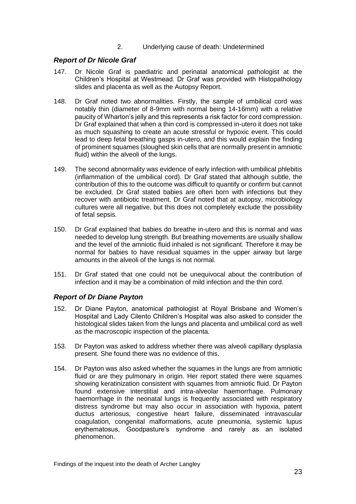2. Underlying cause of death: Undetermined

#### <span id="page-26-0"></span>*Report of Dr Nicole Graf*

- 147. Dr Nicole Graf is paediatric and perinatal anatomical pathologist at the Children's Hospital at Westmead. Dr Graf was provided with Histopathology slides and placenta as well as the Autopsy Report.
- 148. Dr Graf noted two abnormalities. Firstly, the sample of umbilical cord was notably thin (diameter of 8-9mm with normal being 14-16mm) with a relative paucity of Wharton's jelly and this represents a risk factor for cord compression. Dr Graf explained that when a thin cord is compressed in-utero it does not take as much squashing to create an acute stressful or hypoxic event. This could lead to deep fetal breathing gasps in-utero, and this would explain the finding of prominent squames (sloughed skin cells that are normally present in amniotic fluid) within the alveoli of the lungs.
- 149. The second abnormality was evidence of early infection with umbilical phlebitis (inflammation of the umbilical cord). Dr Graf stated that although subtle, the contribution of this to the outcome was difficult to quantify or confirm but cannot be excluded. Dr Graf stated babies are often born with infections but they recover with antibiotic treatment. Dr Graf noted that at autopsy, microbiology cultures were all negative, but this does not completely exclude the possibility of fetal sepsis.
- 150. Dr Graf explained that babies do breathe in-utero and this is normal and was needed to develop lung strength. But breathing movements are usually shallow and the level of the amniotic fluid inhaled is not significant. Therefore it may be normal for babies to have residual squames in the upper airway but large amounts in the alveoli of the lungs is not normal.
- 151. Dr Graf stated that one could not be unequivocal about the contribution of infection and it may be a combination of mild infection and the thin cord.

#### <span id="page-26-1"></span>*Report of Dr Diane Payton*

- 152. Dr Diane Payton, anatomical pathologist at Royal Brisbane and Women's Hospital and Lady Cilento Children's Hospital was also asked to consider the histological slides taken from the lungs and placenta and umbilical cord as well as the macroscopic inspection of the placenta.
- 153. Dr Payton was asked to address whether there was alveoli capillary dysplasia present. She found there was no evidence of this.
- 154. Dr Payton was also asked whether the squames in the lungs are from amniotic fluid or are they pulmonary in origin. Her report stated there were squames showing keratinization consistent with squames from amniotic fluid. Dr Payton found extensive interstitial and intra-alveolar haemorrhage. Pulmonary haemorrhage in the neonatal lungs is frequently associated with respiratory distress syndrome but may also occur in association with hypoxia, patent ductus arteriosus, congestive heart failure, disseminated intravascular coagulation, congenital malformations, acute pneumonia, systemic lupus erythematosus, Goodpasture's syndrome and rarely as an isolated phenomenon.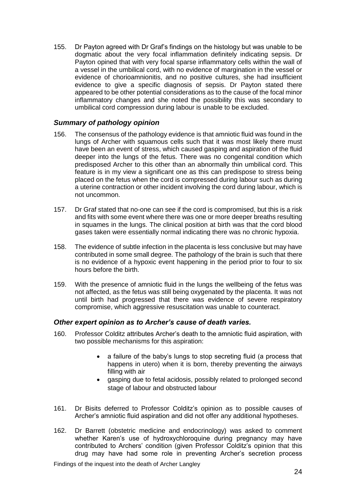155. Dr Payton agreed with Dr Graf's findings on the histology but was unable to be dogmatic about the very focal inflammation definitely indicating sepsis. Dr Payton opined that with very focal sparse inflammatory cells within the wall of a vessel in the umbilical cord, with no evidence of margination in the vessel or evidence of chorioamnionitis, and no positive cultures, she had insufficient evidence to give a specific diagnosis of sepsis. Dr Payton stated there appeared to be other potential considerations as to the cause of the focal minor inflammatory changes and she noted the possibility this was secondary to umbilical cord compression during labour is unable to be excluded.

#### <span id="page-27-0"></span>*Summary of pathology opinion*

- 156. The consensus of the pathology evidence is that amniotic fluid was found in the lungs of Archer with squamous cells such that it was most likely there must have been an event of stress, which caused gasping and aspiration of the fluid deeper into the lungs of the fetus. There was no congenital condition which predisposed Archer to this other than an abnormally thin umbilical cord. This feature is in my view a significant one as this can predispose to stress being placed on the fetus when the cord is compressed during labour such as during a uterine contraction or other incident involving the cord during labour, which is not uncommon.
- 157. Dr Graf stated that no-one can see if the cord is compromised, but this is a risk and fits with some event where there was one or more deeper breaths resulting in squames in the lungs. The clinical position at birth was that the cord blood gases taken were essentially normal indicating there was no chronic hypoxia.
- 158. The evidence of subtle infection in the placenta is less conclusive but may have contributed in some small degree. The pathology of the brain is such that there is no evidence of a hypoxic event happening in the period prior to four to six hours before the birth.
- 159. With the presence of amniotic fluid in the lungs the wellbeing of the fetus was not affected, as the fetus was still being oxygenated by the placenta. It was not until birth had progressed that there was evidence of severe respiratory compromise, which aggressive resuscitation was unable to counteract.

#### <span id="page-27-1"></span>*Other expert opinion as to Archer's cause of death varies.*

- 160. Professor Colditz attributes Archer's death to the amniotic fluid aspiration, with two possible mechanisms for this aspiration:
	- a failure of the baby's lungs to stop secreting fluid (a process that happens in utero) when it is born, thereby preventing the airways filling with air
	- gasping due to fetal acidosis, possibly related to prolonged second stage of labour and obstructed labour
- 161. Dr Bisits deferred to Professor Colditz's opinion as to possible causes of Archer's amniotic fluid aspiration and did not offer any additional hypotheses.
- 162. Dr Barrett (obstetric medicine and endocrinology) was asked to comment whether Karen's use of hydroxychloroquine during pregnancy may have contributed to Archers' condition (given Professor Colditz's opinion that this drug may have had some role in preventing Archer's secretion process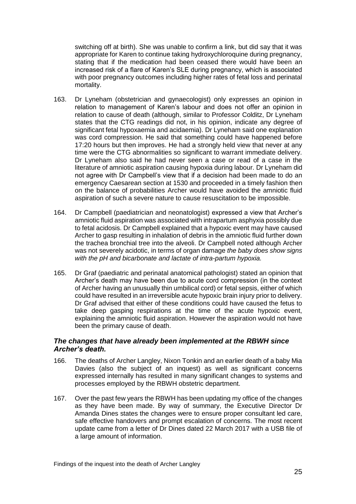switching off at birth). She was unable to confirm a link, but did say that it was appropriate for Karen to continue taking hydroxychloroquine during pregnancy, stating that if the medication had been ceased there would have been an increased risk of a flare of Karen's SLE during pregnancy, which is associated with poor pregnancy outcomes including higher rates of fetal loss and perinatal mortality.

- 163. Dr Lyneham (obstetrician and gynaecologist) only expresses an opinion in relation to management of Karen's labour and does not offer an opinion in relation to cause of death (although, similar to Professor Colditz, Dr Lyneham states that the CTG readings did not, in his opinion, indicate any degree of significant fetal hypoxaemia and acidaemia). Dr Lyneham said one explanation was cord compression. He said that something could have happened before 17:20 hours but then improves. He had a strongly held view that never at any time were the CTG abnormalities so significant to warrant immediate delivery. Dr Lyneham also said he had never seen a case or read of a case in the literature of amniotic aspiration causing hypoxia during labour. Dr Lyneham did not agree with Dr Campbell's view that if a decision had been made to do an emergency Caesarean section at 1530 and proceeded in a timely fashion then on the balance of probabilities Archer would have avoided the amniotic fluid aspiration of such a severe nature to cause resuscitation to be impossible.
- 164. Dr Campbell (paediatrician and neonatologist) expressed a view that Archer's amniotic fluid aspiration was associated with intrapartum asphyxia possibly due to fetal acidosis. Dr Campbell explained that a hypoxic event may have caused Archer to gasp resulting in inhalation of debris in the amniotic fluid further down the trachea bronchial tree into the alveoli. Dr Campbell noted although Archer was not severely acidotic, in terms of organ damage *the baby does show signs with the pH and bicarbonate and lactate of intra-partum hypoxia.*
- 165. Dr Graf (paediatric and perinatal anatomical pathologist) stated an opinion that Archer's death may have been due to acute cord compression (in the context of Archer having an unusually thin umbilical cord) or fetal sepsis, either of which could have resulted in an irreversible acute hypoxic brain injury prior to delivery. Dr Graf advised that either of these conditions could have caused the fetus to take deep gasping respirations at the time of the acute hypoxic event, explaining the amniotic fluid aspiration. However the aspiration would not have been the primary cause of death.

#### <span id="page-28-0"></span>*The changes that have already been implemented at the RBWH since Archer's death.*

- 166. The deaths of Archer Langley, Nixon Tonkin and an earlier death of a baby Mia Davies (also the subject of an inquest) as well as significant concerns expressed internally has resulted in many significant changes to systems and processes employed by the RBWH obstetric department.
- 167. Over the past few years the RBWH has been updating my office of the changes as they have been made. By way of summary, the Executive Director Dr Amanda Dines states the changes were to ensure proper consultant led care, safe effective handovers and prompt escalation of concerns. The most recent update came from a letter of Dr Dines dated 22 March 2017 with a USB file of a large amount of information.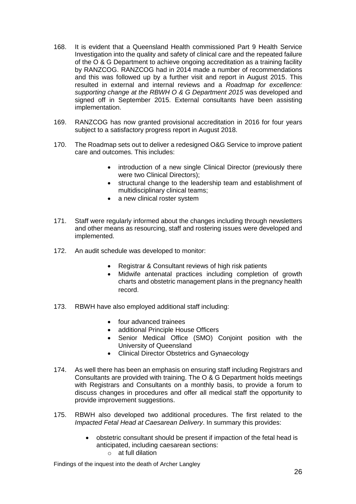- 168. It is evident that a Queensland Health commissioned Part 9 Health Service Investigation into the quality and safety of clinical care and the repeated failure of the O & G Department to achieve ongoing accreditation as a training facility by RANZCOG. RANZCOG had in 2014 made a number of recommendations and this was followed up by a further visit and report in August 2015. This resulted in external and internal reviews and a *Roadmap for excellence: supporting change at the RBWH O & G Department 2015* was developed and signed off in September 2015. External consultants have been assisting implementation.
- 169. RANZCOG has now granted provisional accreditation in 2016 for four years subject to a satisfactory progress report in August 2018.
- 170. The Roadmap sets out to deliver a redesigned O&G Service to improve patient care and outcomes. This includes:
	- introduction of a new single Clinical Director (previously there were two Clinical Directors);
	- structural change to the leadership team and establishment of multidisciplinary clinical teams;
	- a new clinical roster system
- 171. Staff were regularly informed about the changes including through newsletters and other means as resourcing, staff and rostering issues were developed and implemented.
- 172. An audit schedule was developed to monitor:
	- Registrar & Consultant reviews of high risk patients
	- Midwife antenatal practices including completion of growth charts and obstetric management plans in the pregnancy health record.
- 173. RBWH have also employed additional staff including:
	- four advanced trainees
	- additional Principle House Officers
	- Senior Medical Office (SMO) Conjoint position with the University of Queensland
	- Clinical Director Obstetrics and Gynaecology
- 174. As well there has been an emphasis on ensuring staff including Registrars and Consultants are provided with training. The O & G Department holds meetings with Registrars and Consultants on a monthly basis, to provide a forum to discuss changes in procedures and offer all medical staff the opportunity to provide improvement suggestions.
- 175. RBWH also developed two additional procedures. The first related to the *Impacted Fetal Head at Caesarean Delivery*. In summary this provides:
	- obstetric consultant should be present if impaction of the fetal head is anticipated, including caesarean sections: o at full dilation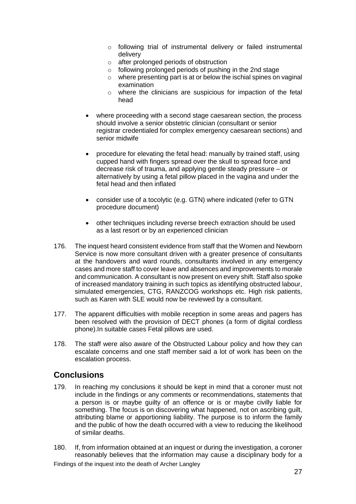- o following trial of instrumental delivery or failed instrumental delivery
- o after prolonged periods of obstruction
- o following prolonged periods of pushing in the 2nd stage
- o where presenting part is at or below the ischial spines on vaginal examination
- o where the clinicians are suspicious for impaction of the fetal head
- where proceeding with a second stage caesarean section, the process should involve a senior obstetric clinician (consultant or senior registrar credentialed for complex emergency caesarean sections) and senior midwife
- procedure for elevating the fetal head: manually by trained staff, using cupped hand with fingers spread over the skull to spread force and decrease risk of trauma, and applying gentle steady pressure – or alternatively by using a fetal pillow placed in the vagina and under the fetal head and then inflated
- consider use of a tocolytic (e.g. GTN) where indicated (refer to GTN procedure document)
- other techniques including reverse breech extraction should be used as a last resort or by an experienced clinician
- 176. The inquest heard consistent evidence from staff that the Women and Newborn Service is now more consultant driven with a greater presence of consultants at the handovers and ward rounds, consultants involved in any emergency cases and more staff to cover leave and absences and improvements to morale and communication. A consultant is now present on every shift. Staff also spoke of increased mandatory training in such topics as identifying obstructed labour, simulated emergencies, CTG, RANZCOG workshops etc. High risk patients, such as Karen with SLE would now be reviewed by a consultant.
- 177. The apparent difficulties with mobile reception in some areas and pagers has been resolved with the provision of DECT phones (a form of digital cordless phone).In suitable cases Fetal pillows are used.
- 178. The staff were also aware of the Obstructed Labour policy and how they can escalate concerns and one staff member said a lot of work has been on the escalation process.

#### <span id="page-30-0"></span>**Conclusions**

- 179. In reaching my conclusions it should be kept in mind that a coroner must not include in the findings or any comments or recommendations, statements that a person is or maybe guilty of an offence or is or maybe civilly liable for something. The focus is on discovering what happened, not on ascribing guilt, attributing blame or apportioning liability. The purpose is to inform the family and the public of how the death occurred with a view to reducing the likelihood of similar deaths.
- 180. If, from information obtained at an inquest or during the investigation, a coroner reasonably believes that the information may cause a disciplinary body for a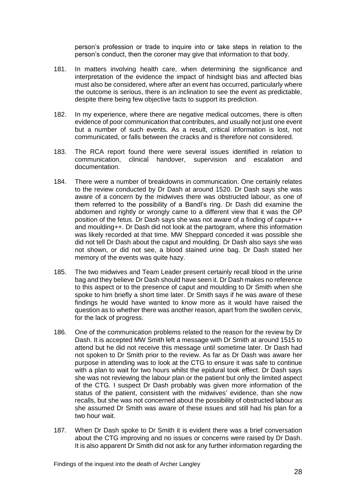person's profession or trade to inquire into or take steps in relation to the person's conduct, then the coroner may give that information to that body.

- 181. In matters involving health care, when determining the significance and interpretation of the evidence the impact of hindsight bias and affected bias must also be considered, where after an event has occurred, particularly where the outcome is serious, there is an inclination to see the event as predictable, despite there being few objective facts to support its prediction.
- 182. In my experience, where there are negative medical outcomes, there is often evidence of poor communication that contributes, and usually not just one event but a number of such events. As a result, critical information is lost, not communicated, or falls between the cracks and is therefore not considered.
- 183. The RCA report found there were several issues identified in relation to communication, clinical handover, supervision and escalation and documentation.
- 184. There were a number of breakdowns in communication. One certainly relates to the review conducted by Dr Dash at around 1520. Dr Dash says she was aware of a concern by the midwives there was obstructed labour, as one of them referred to the possibility of a Bandl's ring. Dr Dash did examine the abdomen and rightly or wrongly came to a different view that it was the OP position of the fetus. Dr Dash says she was not aware of a finding of caput+++ and moulding++. Dr Dash did not look at the partogram, where this information was likely recorded at that time. MW Sheppard conceded it was possible she did not tell Dr Dash about the caput and moulding. Dr Dash also says she was not shown, or did not see, a blood stained urine bag. Dr Dash stated her memory of the events was quite hazy.
- 185. The two midwives and Team Leader present certainly recall blood in the urine bag and they believe Dr Dash should have seen it. Dr Dash makes no reference to this aspect or to the presence of caput and moulding to Dr Smith when she spoke to him briefly a short time later. Dr Smith says if he was aware of these findings he would have wanted to know more as it would have raised the question as to whether there was another reason, apart from the swollen cervix, for the lack of progress.
- 186. One of the communication problems related to the reason for the review by Dr Dash. It is accepted MW Smith left a message with Dr Smith at around 1515 to attend but he did not receive this message until sometime later. Dr Dash had not spoken to Dr Smith prior to the review. As far as Dr Dash was aware her purpose in attending was to look at the CTG to ensure it was safe to continue with a plan to wait for two hours whilst the epidural took effect. Dr Dash says she was not reviewing the labour plan or the patient but only the limited aspect of the CTG. I suspect Dr Dash probably was given more information of the status of the patient, consistent with the midwives' evidence, than she now recalls, but she was not concerned about the possibility of obstructed labour as she assumed Dr Smith was aware of these issues and still had his plan for a two hour wait.
- 187. When Dr Dash spoke to Dr Smith it is evident there was a brief conversation about the CTG improving and no issues or concerns were raised by Dr Dash. It is also apparent Dr Smith did not ask for any further information regarding the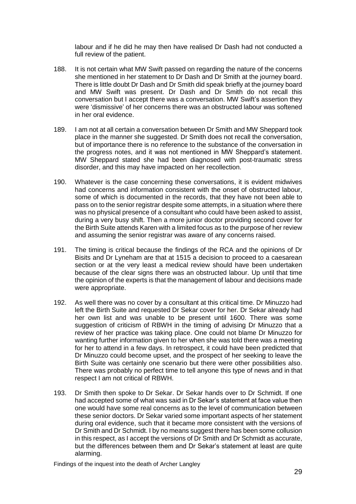labour and if he did he may then have realised Dr Dash had not conducted a full review of the patient.

- 188. It is not certain what MW Swift passed on regarding the nature of the concerns she mentioned in her statement to Dr Dash and Dr Smith at the journey board. There is little doubt Dr Dash and Dr Smith did speak briefly at the journey board and MW Swift was present. Dr Dash and Dr Smith do not recall this conversation but I accept there was a conversation. MW Swift's assertion they were 'dismissive' of her concerns there was an obstructed labour was softened in her oral evidence.
- 189. I am not at all certain a conversation between Dr Smith and MW Sheppard took place in the manner she suggested. Dr Smith does not recall the conversation, but of importance there is no reference to the substance of the conversation in the progress notes, and it was not mentioned in MW Sheppard's statement. MW Sheppard stated she had been diagnosed with post-traumatic stress disorder, and this may have impacted on her recollection.
- 190. Whatever is the case concerning these conversations, it is evident midwives had concerns and information consistent with the onset of obstructed labour, some of which is documented in the records, that they have not been able to pass on to the senior registrar despite some attempts, in a situation where there was no physical presence of a consultant who could have been asked to assist, during a very busy shift. Then a more junior doctor providing second cover for the Birth Suite attends Karen with a limited focus as to the purpose of her review and assuming the senior registrar was aware of any concerns raised.
- 191. The timing is critical because the findings of the RCA and the opinions of Dr Bisits and Dr Lyneham are that at 1515 a decision to proceed to a caesarean section or at the very least a medical review should have been undertaken because of the clear signs there was an obstructed labour. Up until that time the opinion of the experts is that the management of labour and decisions made were appropriate.
- 192. As well there was no cover by a consultant at this critical time. Dr Minuzzo had left the Birth Suite and requested Dr Sekar cover for her. Dr Sekar already had her own list and was unable to be present until 1600. There was some suggestion of criticism of RBWH in the timing of advising Dr Minuzzo that a review of her practice was taking place. One could not blame Dr Minuzzo for wanting further information given to her when she was told there was a meeting for her to attend in a few days. In retrospect, it could have been predicted that Dr Minuzzo could become upset, and the prospect of her seeking to leave the Birth Suite was certainly one scenario but there were other possibilities also. There was probably no perfect time to tell anyone this type of news and in that respect I am not critical of RBWH.
- 193. Dr Smith then spoke to Dr Sekar. Dr Sekar hands over to Dr Schmidt. If one had accepted some of what was said in Dr Sekar's statement at face value then one would have some real concerns as to the level of communication between these senior doctors. Dr Sekar varied some important aspects of her statement during oral evidence, such that it became more consistent with the versions of Dr Smith and Dr Schmidt. I by no means suggest there has been some collusion in this respect, as I accept the versions of Dr Smith and Dr Schmidt as accurate, but the differences between them and Dr Sekar's statement at least are quite alarming.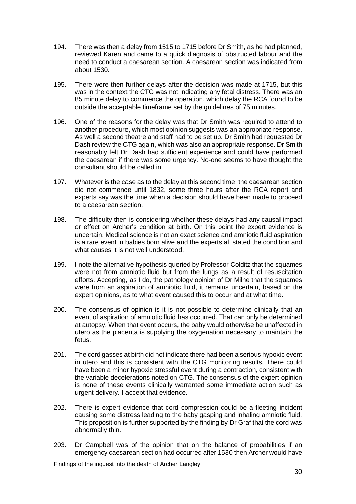- 194. There was then a delay from 1515 to 1715 before Dr Smith, as he had planned, reviewed Karen and came to a quick diagnosis of obstructed labour and the need to conduct a caesarean section. A caesarean section was indicated from about 1530.
- 195. There were then further delays after the decision was made at 1715, but this was in the context the CTG was not indicating any fetal distress. There was an 85 minute delay to commence the operation, which delay the RCA found to be outside the acceptable timeframe set by the guidelines of 75 minutes.
- 196. One of the reasons for the delay was that Dr Smith was required to attend to another procedure, which most opinion suggests was an appropriate response. As well a second theatre and staff had to be set up. Dr Smith had requested Dr Dash review the CTG again, which was also an appropriate response. Dr Smith reasonably felt Dr Dash had sufficient experience and could have performed the caesarean if there was some urgency. No-one seems to have thought the consultant should be called in.
- 197. Whatever is the case as to the delay at this second time, the caesarean section did not commence until 1832, some three hours after the RCA report and experts say was the time when a decision should have been made to proceed to a caesarean section.
- 198. The difficulty then is considering whether these delays had any causal impact or effect on Archer's condition at birth. On this point the expert evidence is uncertain. Medical science is not an exact science and amniotic fluid aspiration is a rare event in babies born alive and the experts all stated the condition and what causes it is not well understood.
- 199. I note the alternative hypothesis queried by Professor Colditz that the squames were not from amniotic fluid but from the lungs as a result of resuscitation efforts. Accepting, as I do, the pathology opinion of Dr Milne that the squames were from an aspiration of amniotic fluid, it remains uncertain, based on the expert opinions, as to what event caused this to occur and at what time.
- 200. The consensus of opinion is it is not possible to determine clinically that an event of aspiration of amniotic fluid has occurred. That can only be determined at autopsy. When that event occurs, the baby would otherwise be unaffected in utero as the placenta is supplying the oxygenation necessary to maintain the fetus.
- 201. The cord gasses at birth did not indicate there had been a serious hypoxic event in utero and this is consistent with the CTG monitoring results. There could have been a minor hypoxic stressful event during a contraction, consistent with the variable decelerations noted on CTG. The consensus of the expert opinion is none of these events clinically warranted some immediate action such as urgent delivery. I accept that evidence.
- 202. There is expert evidence that cord compression could be a fleeting incident causing some distress leading to the baby gasping and inhaling amniotic fluid. This proposition is further supported by the finding by Dr Graf that the cord was abnormally thin.
- 203. Dr Campbell was of the opinion that on the balance of probabilities if an emergency caesarean section had occurred after 1530 then Archer would have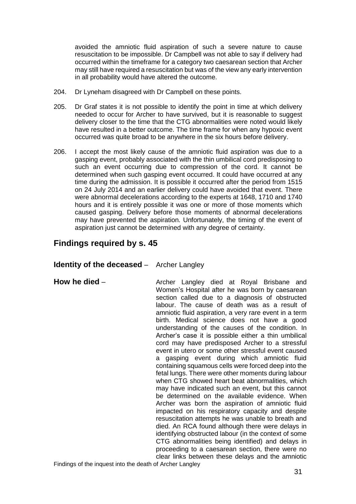avoided the amniotic fluid aspiration of such a severe nature to cause resuscitation to be impossible. Dr Campbell was not able to say if delivery had occurred within the timeframe for a category two caesarean section that Archer may still have required a resuscitation but was of the view any early intervention in all probability would have altered the outcome.

- 204. Dr Lyneham disagreed with Dr Campbell on these points.
- 205. Dr Graf states it is not possible to identify the point in time at which delivery needed to occur for Archer to have survived, but it is reasonable to suggest delivery closer to the time that the CTG abnormalities were noted would likely have resulted in a better outcome. The time frame for when any hypoxic event occurred was quite broad to be anywhere in the six hours before delivery.
- 206. I accept the most likely cause of the amniotic fluid aspiration was due to a gasping event, probably associated with the thin umbilical cord predisposing to such an event occurring due to compression of the cord. It cannot be determined when such gasping event occurred. It could have occurred at any time during the admission. It is possible it occurred after the period from 1515 on 24 July 2014 and an earlier delivery could have avoided that event. There were abnormal decelerations according to the experts at 1648, 1710 and 1740 hours and it is entirely possible it was one or more of those moments which caused gasping. Delivery before those moments of abnormal decelerations may have prevented the aspiration. Unfortunately, the timing of the event of aspiration just cannot be determined with any degree of certainty.

## <span id="page-34-0"></span>**Findings required by s. 45**

#### <span id="page-34-1"></span>**Identity of the deceased** – Archer Langley

<span id="page-34-2"></span>

**How he died** – **Archer Langley died at Royal Brisbane and** Women's Hospital after he was born by caesarean section called due to a diagnosis of obstructed labour. The cause of death was as a result of amniotic fluid aspiration, a very rare event in a term birth. Medical science does not have a good understanding of the causes of the condition. In Archer's case it is possible either a thin umbilical cord may have predisposed Archer to a stressful event in utero or some other stressful event caused a gasping event during which amniotic fluid containing squamous cells were forced deep into the fetal lungs. There were other moments during labour when CTG showed heart beat abnormalities, which may have indicated such an event, but this cannot be determined on the available evidence. When Archer was born the aspiration of amniotic fluid impacted on his respiratory capacity and despite resuscitation attempts he was unable to breath and died. An RCA found although there were delays in identifying obstructed labour (in the context of some CTG abnormalities being identified) and delays in proceeding to a caesarean section, there were no clear links between these delays and the amniotic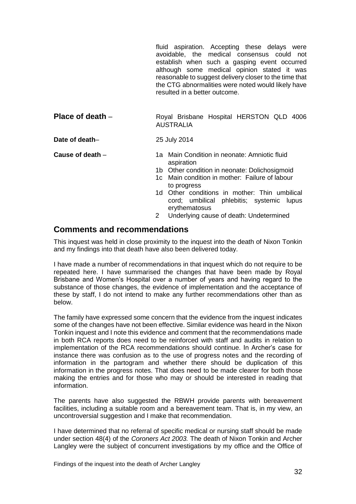fluid aspiration. Accepting these delays were avoidable, the medical consensus could not establish when such a gasping event occurred although some medical opinion stated it was reasonable to suggest delivery closer to the time that the CTG abnormalities were noted would likely have resulted in a better outcome.

<span id="page-35-0"></span>**Place of death** – Royal Brisbane Hospital HERSTON QLD 4006 AUSTRALIA

<span id="page-35-1"></span>**Date of death–** 25 July 2014

<span id="page-35-2"></span>**Cause of death** – 1a Main Condition in neonate: Amniotic fluid aspiration

- 1b Other condition in neonate: Dolichosigmoid
- 1c Main condition in mother: Failure of labour to progress
- 1d Other conditions in mother: Thin umbilical cord; umbilical phlebitis; systemic lupus erythematosus
- 2 Underlying cause of death: Undetermined

### <span id="page-35-3"></span>**Comments and recommendations**

This inquest was held in close proximity to the inquest into the death of Nixon Tonkin and my findings into that death have also been delivered today.

I have made a number of recommendations in that inquest which do not require to be repeated here. I have summarised the changes that have been made by Royal Brisbane and Women's Hospital over a number of years and having regard to the substance of those changes, the evidence of implementation and the acceptance of these by staff, I do not intend to make any further recommendations other than as below.

The family have expressed some concern that the evidence from the inquest indicates some of the changes have not been effective. Similar evidence was heard in the Nixon Tonkin inquest and I note this evidence and comment that the recommendations made in both RCA reports does need to be reinforced with staff and audits in relation to implementation of the RCA recommendations should continue. In Archer's case for instance there was confusion as to the use of progress notes and the recording of information in the partogram and whether there should be duplication of this information in the progress notes. That does need to be made clearer for both those making the entries and for those who may or should be interested in reading that information.

The parents have also suggested the RBWH provide parents with bereavement facilities, including a suitable room and a bereavement team. That is, in my view, an uncontroversial suggestion and I make that recommendation.

I have determined that no referral of specific medical or nursing staff should be made under section 48(4) of the *Coroners Act 2003.* The death of Nixon Tonkin and Archer Langley were the subject of concurrent investigations by my office and the Office of